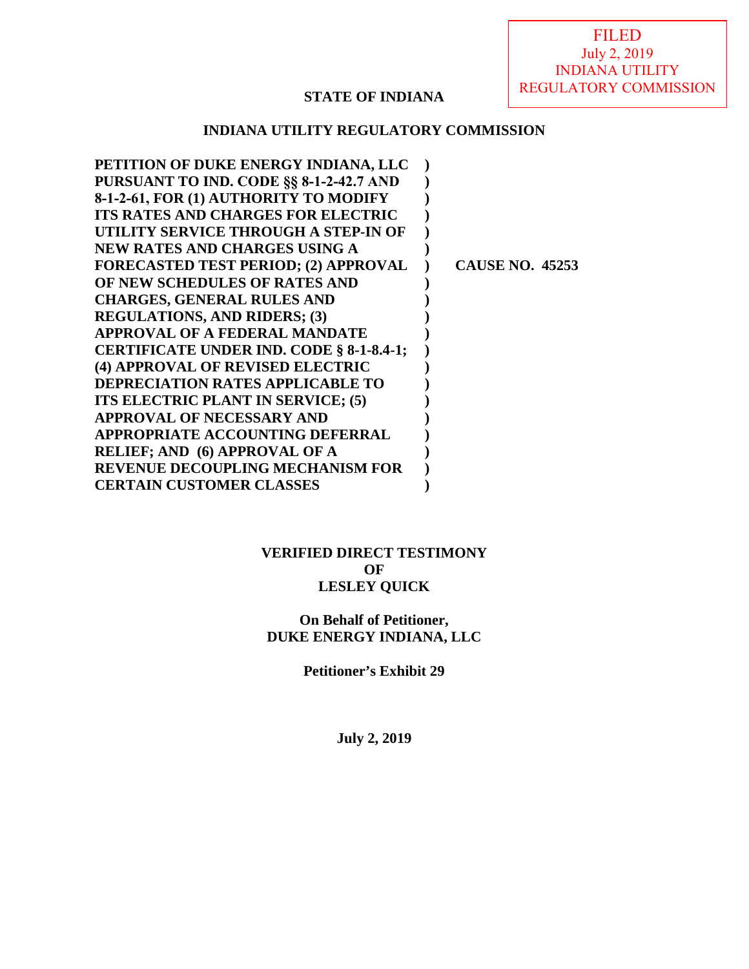# **STATE OF INDIANA**

# **INDIANA UTILITY REGULATORY COMMISSION**

| PETITION OF DUKE ENERGY INDIANA, LLC            |                        |
|-------------------------------------------------|------------------------|
| PURSUANT TO IND. CODE §§ 8-1-2-42.7 AND         |                        |
| 8-1-2-61, FOR (1) AUTHORITY TO MODIFY           |                        |
| <b>ITS RATES AND CHARGES FOR ELECTRIC</b>       |                        |
| UTILITY SERVICE THROUGH A STEP-IN OF            |                        |
| NEW RATES AND CHARGES USING A                   |                        |
| <b>FORECASTED TEST PERIOD; (2) APPROVAL</b>     | <b>CAUSE NO. 45253</b> |
| OF NEW SCHEDULES OF RATES AND                   |                        |
| <b>CHARGES, GENERAL RULES AND</b>               |                        |
| <b>REGULATIONS, AND RIDERS; (3)</b>             |                        |
| <b>APPROVAL OF A FEDERAL MANDATE</b>            |                        |
| <b>CERTIFICATE UNDER IND. CODE § 8-1-8.4-1;</b> |                        |
| (4) APPROVAL OF REVISED ELECTRIC                |                        |
| <b>DEPRECIATION RATES APPLICABLE TO</b>         |                        |
| ITS ELECTRIC PLANT IN SERVICE; (5)              |                        |
| <b>APPROVAL OF NECESSARY AND</b>                |                        |
| <b>APPROPRIATE ACCOUNTING DEFERRAL</b>          |                        |
| <b>RELIEF; AND (6) APPROVAL OF A</b>            |                        |
| <b>REVENUE DECOUPLING MECHANISM FOR</b>         |                        |
| <b>CERTAIN CUSTOMER CLASSES</b>                 |                        |

# **VERIFIED DIRECT TESTIMONY OF LESLEY QUICK**

# **On Behalf of Petitioner, DUKE ENERGY INDIANA, LLC**

**Petitioner's Exhibit 29** 

**July 2, 2019**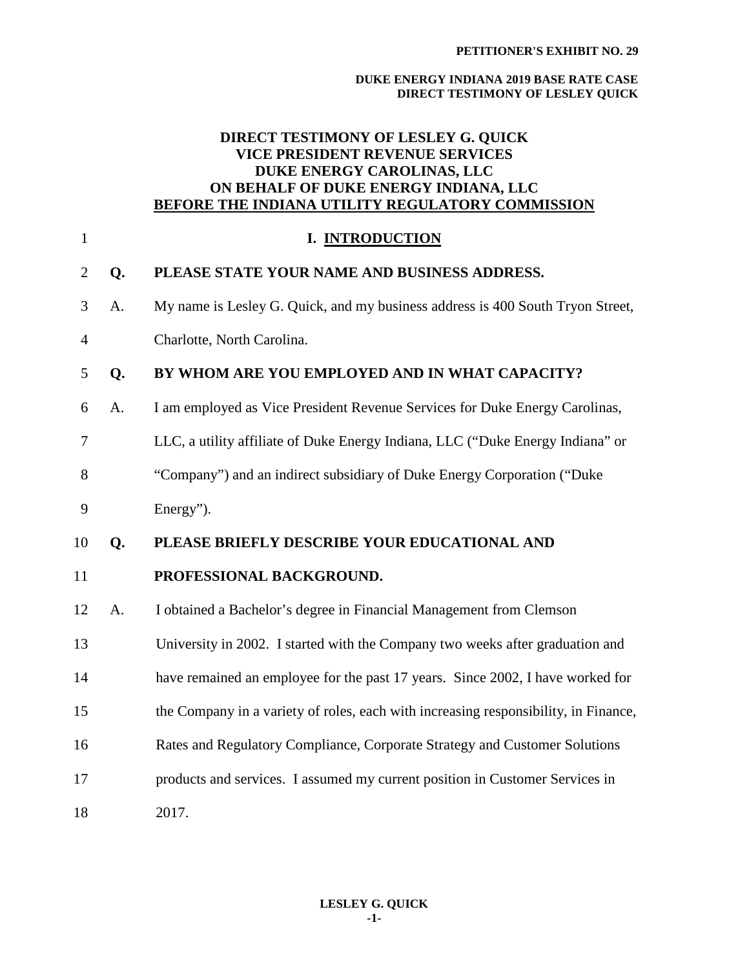# **DIRECT TESTIMONY OF LESLEY G. QUICK VICE PRESIDENT REVENUE SERVICES DUKE ENERGY CAROLINAS, LLC ON BEHALF OF DUKE ENERGY INDIANA, LLC BEFORE THE INDIANA UTILITY REGULATORY COMMISSION**

| $\mathbf{1}$   |    | I. INTRODUCTION                                                                     |
|----------------|----|-------------------------------------------------------------------------------------|
| $\overline{2}$ | Q. | PLEASE STATE YOUR NAME AND BUSINESS ADDRESS.                                        |
| 3              | A. | My name is Lesley G. Quick, and my business address is 400 South Tryon Street,      |
| $\overline{4}$ |    | Charlotte, North Carolina.                                                          |
| 5              | Q. | BY WHOM ARE YOU EMPLOYED AND IN WHAT CAPACITY?                                      |
| 6              | A. | I am employed as Vice President Revenue Services for Duke Energy Carolinas,         |
| 7              |    | LLC, a utility affiliate of Duke Energy Indiana, LLC ("Duke Energy Indiana" or      |
| 8              |    | "Company") and an indirect subsidiary of Duke Energy Corporation ("Duke             |
| 9              |    | Energy").                                                                           |
|                |    |                                                                                     |
| 10             | Q. | PLEASE BRIEFLY DESCRIBE YOUR EDUCATIONAL AND                                        |
| 11             |    | PROFESSIONAL BACKGROUND.                                                            |
| 12             | A. | I obtained a Bachelor's degree in Financial Management from Clemson                 |
| 13             |    | University in 2002. I started with the Company two weeks after graduation and       |
| 14             |    | have remained an employee for the past 17 years. Since 2002, I have worked for      |
| 15             |    | the Company in a variety of roles, each with increasing responsibility, in Finance, |
| 16             |    | Rates and Regulatory Compliance, Corporate Strategy and Customer Solutions          |
| 17             |    | products and services. I assumed my current position in Customer Services in        |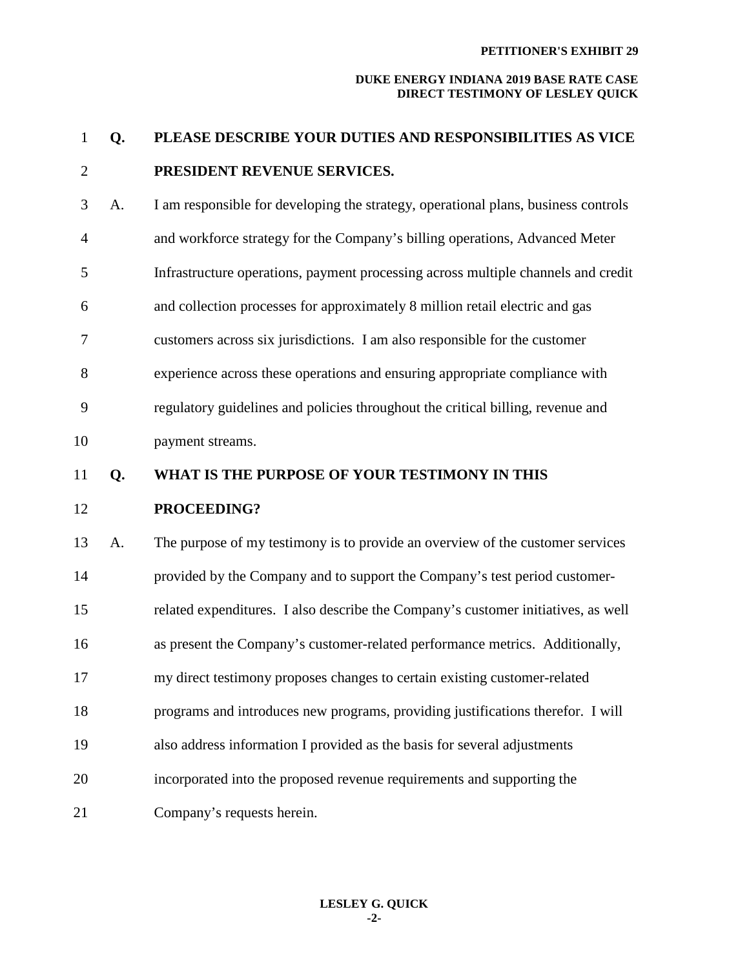#### **PETITIONER'S EXHIBIT 29**

| $\mathbf{1}$   | Q. | PLEASE DESCRIBE YOUR DUTIES AND RESPONSIBILITIES AS VICE                           |
|----------------|----|------------------------------------------------------------------------------------|
| $\overline{2}$ |    | PRESIDENT REVENUE SERVICES.                                                        |
| 3              | A. | I am responsible for developing the strategy, operational plans, business controls |
| $\overline{4}$ |    | and workforce strategy for the Company's billing operations, Advanced Meter        |
| 5              |    | Infrastructure operations, payment processing across multiple channels and credit  |
| 6              |    | and collection processes for approximately 8 million retail electric and gas       |
| 7              |    | customers across six jurisdictions. I am also responsible for the customer         |
| 8              |    | experience across these operations and ensuring appropriate compliance with        |
| 9              |    | regulatory guidelines and policies throughout the critical billing, revenue and    |
| 10             |    | payment streams.                                                                   |
| 11             | Q. | WHAT IS THE PURPOSE OF YOUR TESTIMONY IN THIS                                      |
| 12             |    | PROCEEDING?                                                                        |
| 13             | A. | The purpose of my testimony is to provide an overview of the customer services     |
| 14             |    | provided by the Company and to support the Company's test period customer-         |
| 15             |    | related expenditures. I also describe the Company's customer initiatives, as well  |
| 16             |    | as present the Company's customer-related performance metrics. Additionally,       |
| 17             |    | my direct testimony proposes changes to certain existing customer-related          |
| 18             |    | programs and introduces new programs, providing justifications therefor. I will    |
| 19             |    | also address information I provided as the basis for several adjustments           |
| 20             |    | incorporated into the proposed revenue requirements and supporting the             |
| 21             |    | Company's requests herein.                                                         |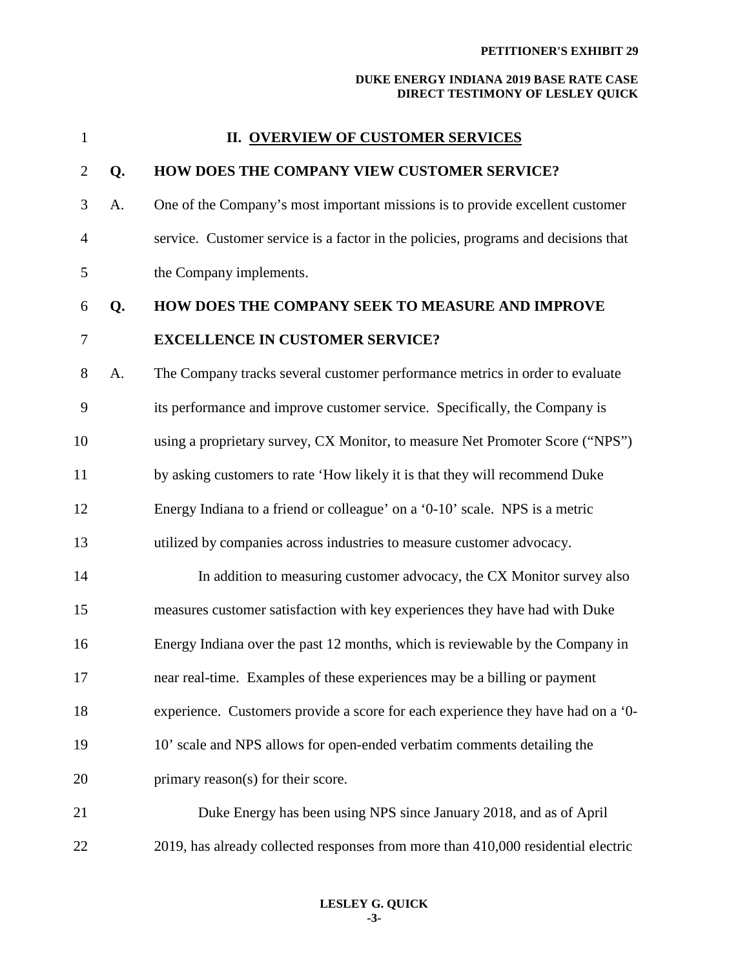| $\mathbf{1}$   |    | <b>II. OVERVIEW OF CUSTOMER SERVICES</b>                                           |
|----------------|----|------------------------------------------------------------------------------------|
| $\overline{2}$ | Q. | HOW DOES THE COMPANY VIEW CUSTOMER SERVICE?                                        |
| 3              | A. | One of the Company's most important missions is to provide excellent customer      |
| $\overline{4}$ |    | service. Customer service is a factor in the policies, programs and decisions that |
| 5              |    | the Company implements.                                                            |
| 6              | Q. | HOW DOES THE COMPANY SEEK TO MEASURE AND IMPROVE                                   |
| $\tau$         |    | <b>EXCELLENCE IN CUSTOMER SERVICE?</b>                                             |
| 8              | A. | The Company tracks several customer performance metrics in order to evaluate       |
| 9              |    | its performance and improve customer service. Specifically, the Company is         |
| 10             |    | using a proprietary survey, CX Monitor, to measure Net Promoter Score ("NPS")      |
| 11             |    | by asking customers to rate 'How likely it is that they will recommend Duke        |
| 12             |    | Energy Indiana to a friend or colleague' on a '0-10' scale. NPS is a metric        |
| 13             |    | utilized by companies across industries to measure customer advocacy.              |
| 14             |    | In addition to measuring customer advocacy, the CX Monitor survey also             |
| 15             |    | measures customer satisfaction with key experiences they have had with Duke        |
| 16             |    | Energy Indiana over the past 12 months, which is reviewable by the Company in      |
| 17             |    | near real-time. Examples of these experiences may be a billing or payment          |
| 18             |    | experience. Customers provide a score for each experience they have had on a '0-   |
| 19             |    | 10' scale and NPS allows for open-ended verbatim comments detailing the            |
| 20             |    | primary reason(s) for their score.                                                 |
| 21             |    | Duke Energy has been using NPS since January 2018, and as of April                 |
| 22             |    | 2019, has already collected responses from more than 410,000 residential electric  |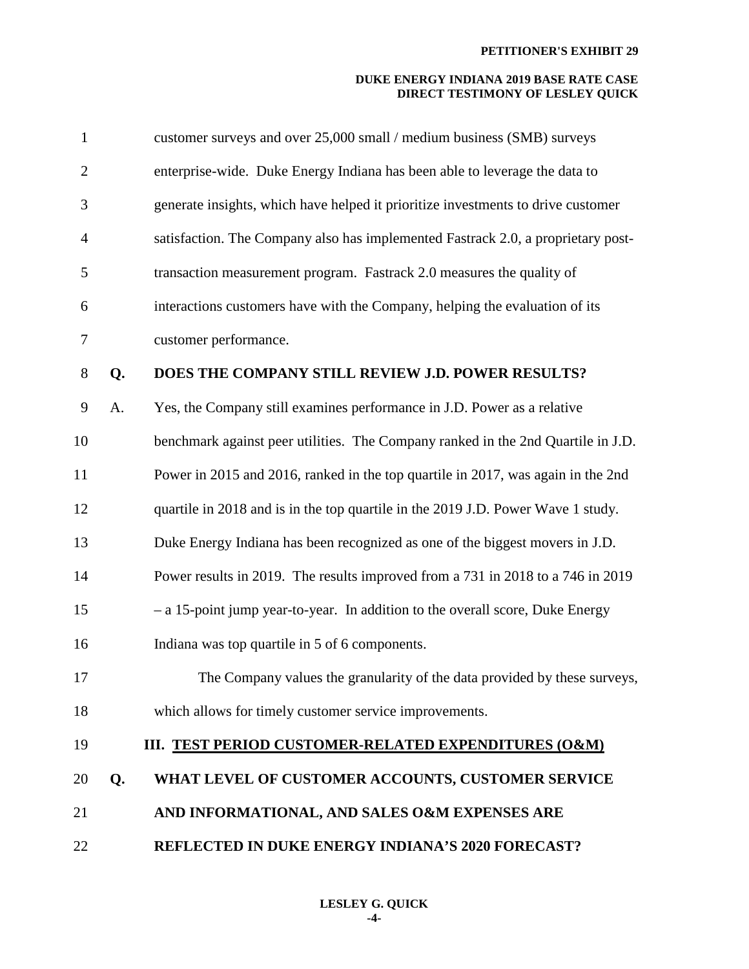| $\mathbf{1}$   |    | customer surveys and over 25,000 small / medium business (SMB) surveys           |
|----------------|----|----------------------------------------------------------------------------------|
| $\overline{2}$ |    | enterprise-wide. Duke Energy Indiana has been able to leverage the data to       |
| 3              |    | generate insights, which have helped it prioritize investments to drive customer |
| 4              |    | satisfaction. The Company also has implemented Fastrack 2.0, a proprietary post- |
| 5              |    | transaction measurement program. Fastrack 2.0 measures the quality of            |
| 6              |    | interactions customers have with the Company, helping the evaluation of its      |
| 7              |    | customer performance.                                                            |
| 8              | Q. | DOES THE COMPANY STILL REVIEW J.D. POWER RESULTS?                                |
| 9              | A. | Yes, the Company still examines performance in J.D. Power as a relative          |
| 10             |    | benchmark against peer utilities. The Company ranked in the 2nd Quartile in J.D. |
| 11             |    | Power in 2015 and 2016, ranked in the top quartile in 2017, was again in the 2nd |
| 12             |    | quartile in 2018 and is in the top quartile in the 2019 J.D. Power Wave 1 study. |
| 13             |    | Duke Energy Indiana has been recognized as one of the biggest movers in J.D.     |
| 14             |    | Power results in 2019. The results improved from a 731 in 2018 to a 746 in 2019  |
| 15             |    | - a 15-point jump year-to-year. In addition to the overall score, Duke Energy    |
| 16             |    | Indiana was top quartile in 5 of 6 components.                                   |
| 17             |    | The Company values the granularity of the data provided by these surveys,        |
| 18             |    | which allows for timely customer service improvements.                           |
| 19             |    | III. TEST PERIOD CUSTOMER-RELATED EXPENDITURES (O&M)                             |
| 20             | Q. | WHAT LEVEL OF CUSTOMER ACCOUNTS, CUSTOMER SERVICE                                |
| 21             |    | AND INFORMATIONAL, AND SALES O&M EXPENSES ARE                                    |
| 22             |    | <b>REFLECTED IN DUKE ENERGY INDIANA'S 2020 FORECAST?</b>                         |
|                |    |                                                                                  |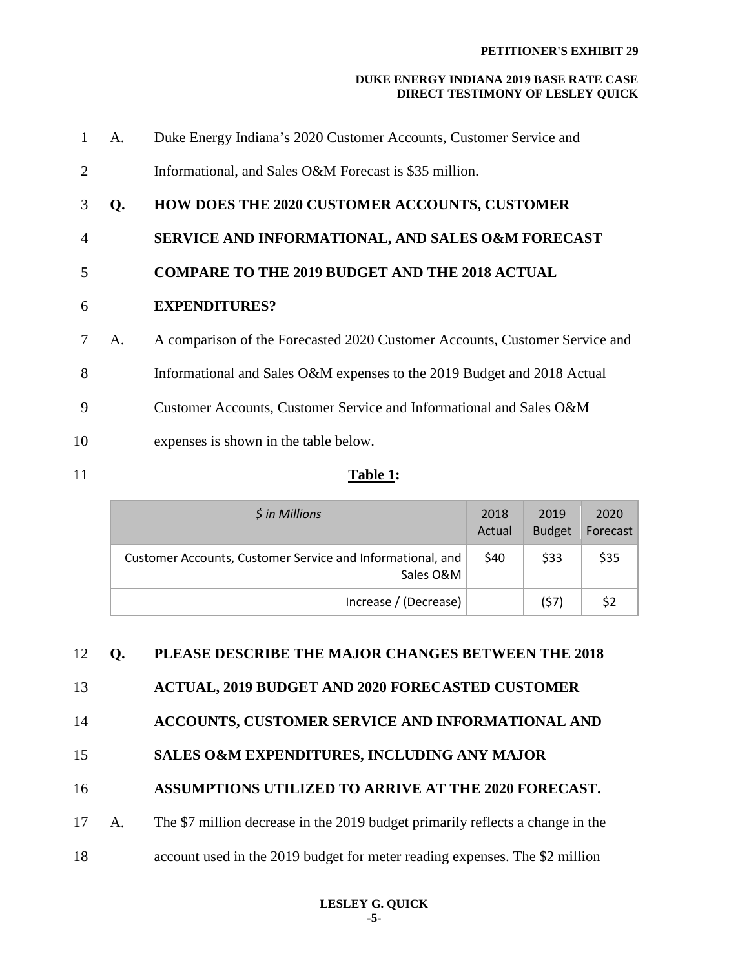| 1              | A. | Duke Energy Indiana's 2020 Customer Accounts, Customer Service and          |
|----------------|----|-----------------------------------------------------------------------------|
| 2              |    | Informational, and Sales O&M Forecast is \$35 million.                      |
| 3              | Q. | <b>HOW DOES THE 2020 CUSTOMER ACCOUNTS, CUSTOMER</b>                        |
| $\overline{4}$ |    | SERVICE AND INFORMATIONAL, AND SALES O&M FORECAST                           |
| 5              |    | <b>COMPARE TO THE 2019 BUDGET AND THE 2018 ACTUAL</b>                       |
| 6              |    | <b>EXPENDITURES?</b>                                                        |
| 7              | A. | A comparison of the Forecasted 2020 Customer Accounts, Customer Service and |
| 8              |    | Informational and Sales O&M expenses to the 2019 Budget and 2018 Actual     |
| 9              |    | Customer Accounts, Customer Service and Informational and Sales O&M         |
| 10             |    | expenses is shown in the table below.                                       |
|                |    |                                                                             |

# 11 **Table 1:**

| $$$ in Millions                                                         | 2018<br>Actual | 2019<br><b>Budget</b> | 2020<br>Forecast |
|-------------------------------------------------------------------------|----------------|-----------------------|------------------|
| Customer Accounts, Customer Service and Informational, and<br>Sales O&M | \$40           | \$33                  | \$35             |
| Increase / (Decrease)                                                   |                | (57)                  | \$2              |

# 12 **Q. PLEASE DESCRIBE THE MAJOR CHANGES BETWEEN THE 2018**

# 13 **ACTUAL, 2019 BUDGET AND 2020 FORECASTED CUSTOMER**

# 14 **ACCOUNTS, CUSTOMER SERVICE AND INFORMATIONAL AND**

# 15 **SALES O&M EXPENDITURES, INCLUDING ANY MAJOR**

# 16 **ASSUMPTIONS UTILIZED TO ARRIVE AT THE 2020 FORECAST.**

# 17 A. The \$7 million decrease in the 2019 budget primarily reflects a change in the

18 account used in the 2019 budget for meter reading expenses. The \$2 million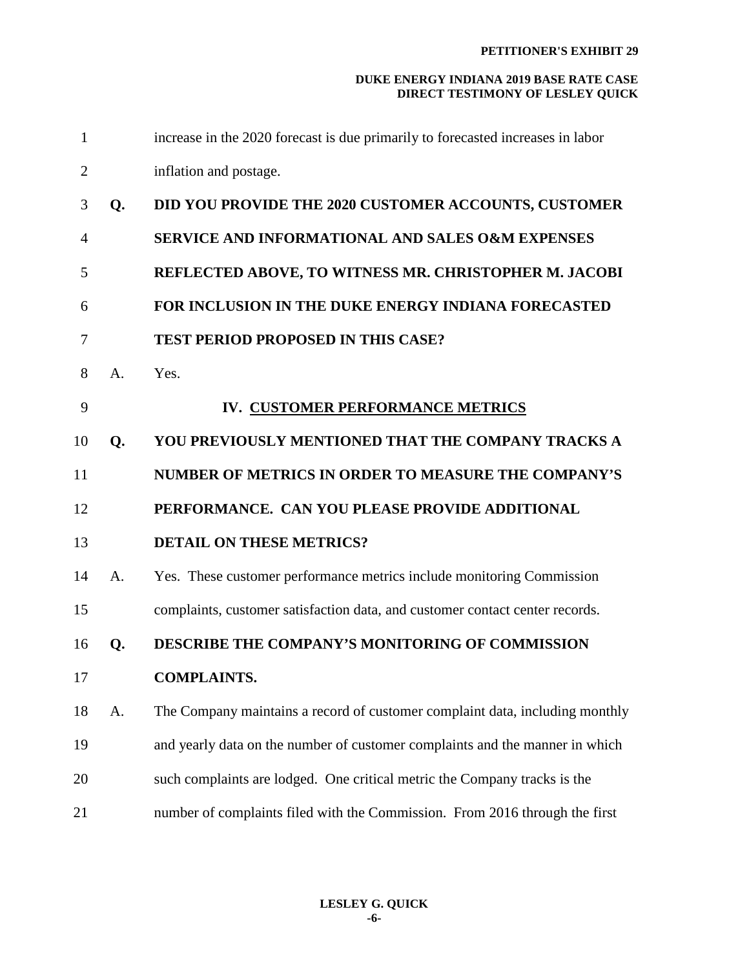| $\mathbf{1}$   |    | increase in the 2020 forecast is due primarily to forecasted increases in labor |
|----------------|----|---------------------------------------------------------------------------------|
| $\overline{2}$ |    | inflation and postage.                                                          |
| 3              | Q. | DID YOU PROVIDE THE 2020 CUSTOMER ACCOUNTS, CUSTOMER                            |
| $\overline{4}$ |    | <b>SERVICE AND INFORMATIONAL AND SALES O&amp;M EXPENSES</b>                     |
| 5              |    | REFLECTED ABOVE, TO WITNESS MR. CHRISTOPHER M. JACOBI                           |
| 6              |    | FOR INCLUSION IN THE DUKE ENERGY INDIANA FORECASTED                             |
| 7              |    | <b>TEST PERIOD PROPOSED IN THIS CASE?</b>                                       |
| 8              | A. | Yes.                                                                            |
| 9              |    | IV. CUSTOMER PERFORMANCE METRICS                                                |
| 10             | Q. | YOU PREVIOUSLY MENTIONED THAT THE COMPANY TRACKS A                              |
| 11             |    | NUMBER OF METRICS IN ORDER TO MEASURE THE COMPANY'S                             |
| 12             |    | PERFORMANCE. CAN YOU PLEASE PROVIDE ADDITIONAL                                  |
| 13             |    | <b>DETAIL ON THESE METRICS?</b>                                                 |
| 14             | A. | Yes. These customer performance metrics include monitoring Commission           |
| 15             |    | complaints, customer satisfaction data, and customer contact center records.    |
| 16             | Q. | DESCRIBE THE COMPANY'S MONITORING OF COMMISSION                                 |
| 17             |    | <b>COMPLAINTS.</b>                                                              |
| 18             | A. | The Company maintains a record of customer complaint data, including monthly    |
| 19             |    | and yearly data on the number of customer complaints and the manner in which    |
| 20             |    | such complaints are lodged. One critical metric the Company tracks is the       |
| 21             |    | number of complaints filed with the Commission. From 2016 through the first     |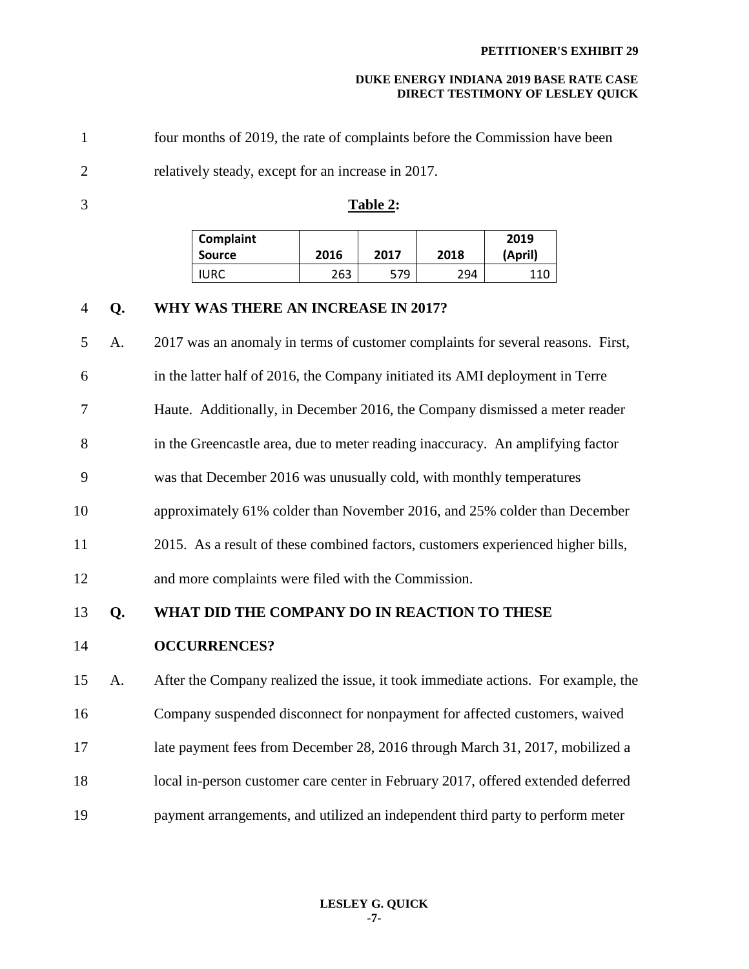| $\mathbf{1}$   |    | four months of 2019, the rate of complaints before the Commission have been       |                                                                      |             |             |                |  |  |
|----------------|----|-----------------------------------------------------------------------------------|----------------------------------------------------------------------|-------------|-------------|----------------|--|--|
| $\overline{2}$ |    | relatively steady, except for an increase in 2017.                                |                                                                      |             |             |                |  |  |
| 3              |    | Table 2:                                                                          |                                                                      |             |             |                |  |  |
|                |    | <b>Complaint</b>                                                                  |                                                                      |             |             | 2019           |  |  |
|                |    | <b>Source</b><br><b>IURC</b>                                                      | 2016<br>263                                                          | 2017<br>579 | 2018<br>294 | (April)<br>110 |  |  |
| 4              | Q. | WHY WAS THERE AN INCREASE IN 2017?                                                |                                                                      |             |             |                |  |  |
| 5              | A. | 2017 was an anomaly in terms of customer complaints for several reasons. First,   |                                                                      |             |             |                |  |  |
| 6              |    | in the latter half of 2016, the Company initiated its AMI deployment in Terre     |                                                                      |             |             |                |  |  |
| 7              |    | Haute. Additionally, in December 2016, the Company dismissed a meter reader       |                                                                      |             |             |                |  |  |
|                |    |                                                                                   |                                                                      |             |             |                |  |  |
| 8              |    | in the Greencastle area, due to meter reading inaccuracy. An amplifying factor    |                                                                      |             |             |                |  |  |
| 9              |    |                                                                                   | was that December 2016 was unusually cold, with monthly temperatures |             |             |                |  |  |
| 10             |    | approximately 61% colder than November 2016, and 25% colder than December         |                                                                      |             |             |                |  |  |
| 11             |    | 2015. As a result of these combined factors, customers experienced higher bills,  |                                                                      |             |             |                |  |  |
| 12             |    | and more complaints were filed with the Commission.                               |                                                                      |             |             |                |  |  |
| 13             | Q. | WHAT DID THE COMPANY DO IN REACTION TO THESE                                      |                                                                      |             |             |                |  |  |
| 14             |    | <b>OCCURRENCES?</b>                                                               |                                                                      |             |             |                |  |  |
| 15             | А. | After the Company realized the issue, it took immediate actions. For example, the |                                                                      |             |             |                |  |  |
| 16             |    | Company suspended disconnect for nonpayment for affected customers, waived        |                                                                      |             |             |                |  |  |
| 17             |    | late payment fees from December 28, 2016 through March 31, 2017, mobilized a      |                                                                      |             |             |                |  |  |
| 18             |    | local in-person customer care center in February 2017, offered extended deferred  |                                                                      |             |             |                |  |  |
| 19             |    | payment arrangements, and utilized an independent third party to perform meter    |                                                                      |             |             |                |  |  |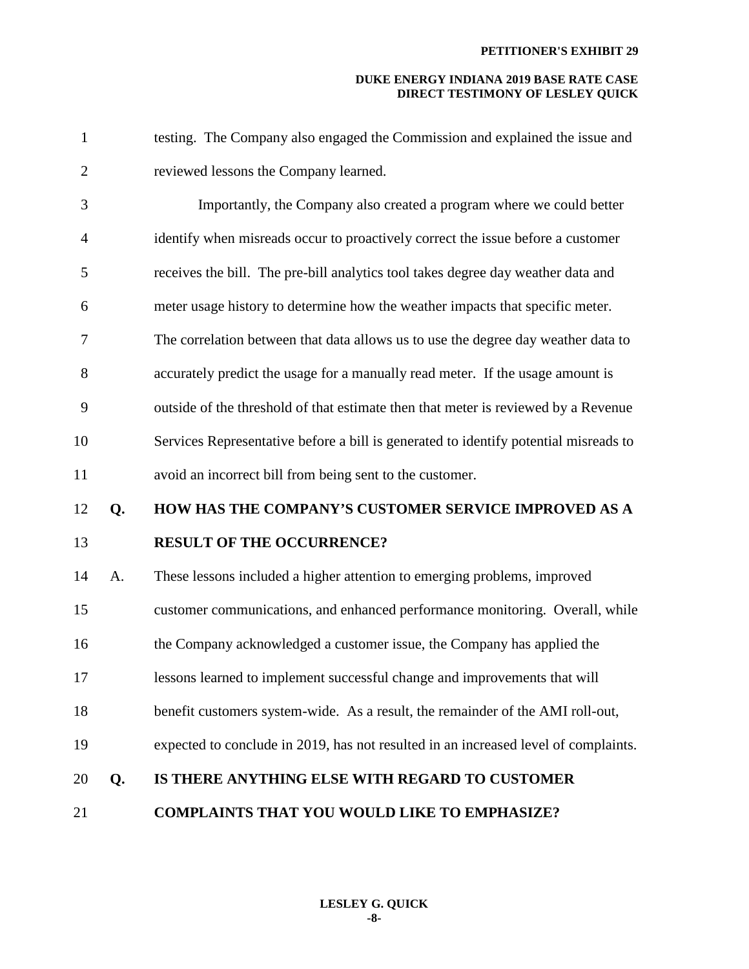#### **PETITIONER'S EXHIBIT 29**

| $\mathbf{1}$   |    | testing. The Company also engaged the Commission and explained the issue and         |
|----------------|----|--------------------------------------------------------------------------------------|
| $\overline{2}$ |    | reviewed lessons the Company learned.                                                |
| 3              |    | Importantly, the Company also created a program where we could better                |
| $\overline{4}$ |    | identify when misreads occur to proactively correct the issue before a customer      |
| 5              |    | receives the bill. The pre-bill analytics tool takes degree day weather data and     |
| 6              |    | meter usage history to determine how the weather impacts that specific meter.        |
| 7              |    | The correlation between that data allows us to use the degree day weather data to    |
| 8              |    | accurately predict the usage for a manually read meter. If the usage amount is       |
| 9              |    | outside of the threshold of that estimate then that meter is reviewed by a Revenue   |
| 10             |    | Services Representative before a bill is generated to identify potential misreads to |
| 11             |    | avoid an incorrect bill from being sent to the customer.                             |
| 12             | Q. | HOW HAS THE COMPANY'S CUSTOMER SERVICE IMPROVED AS A                                 |
| 13             |    | <b>RESULT OF THE OCCURRENCE?</b>                                                     |
| 14             | A. | These lessons included a higher attention to emerging problems, improved             |
| 15             |    | customer communications, and enhanced performance monitoring. Overall, while         |
| 16             |    | the Company acknowledged a customer issue, the Company has applied the               |
| 17             |    | lessons learned to implement successful change and improvements that will            |
| 18             |    | benefit customers system-wide. As a result, the remainder of the AMI roll-out,       |
| 19             |    | expected to conclude in 2019, has not resulted in an increased level of complaints.  |
| 20             | Q. | IS THERE ANYTHING ELSE WITH REGARD TO CUSTOMER                                       |
| 21             |    | <b>COMPLAINTS THAT YOU WOULD LIKE TO EMPHASIZE?</b>                                  |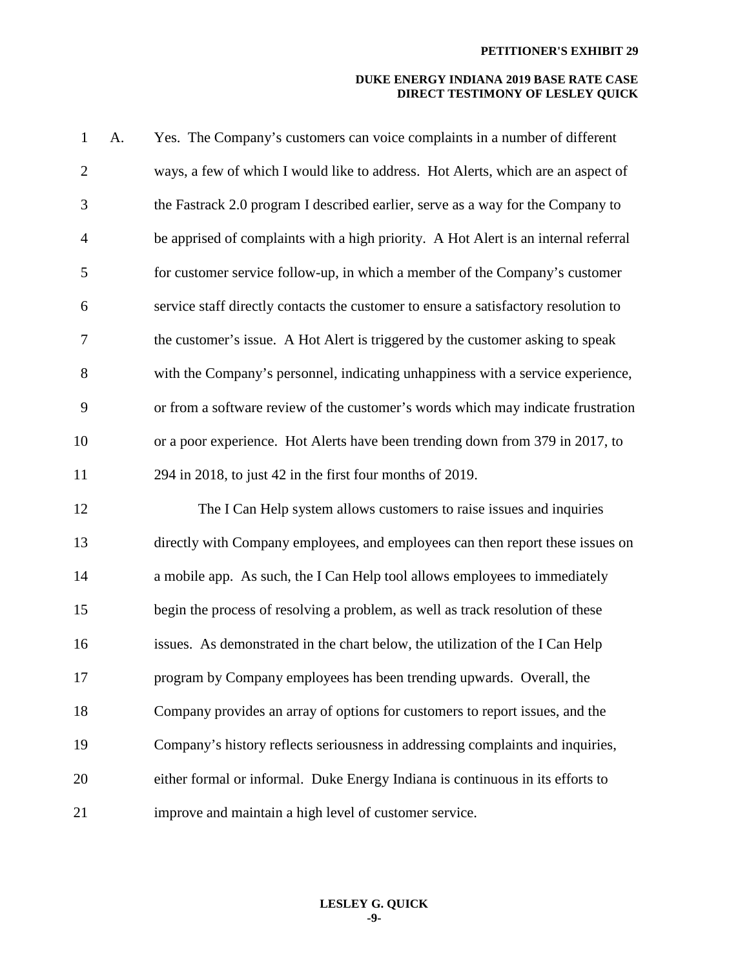| $\mathbf{1}$   | A. | Yes. The Company's customers can voice complaints in a number of different          |
|----------------|----|-------------------------------------------------------------------------------------|
| $\overline{2}$ |    | ways, a few of which I would like to address. Hot Alerts, which are an aspect of    |
| 3              |    | the Fastrack 2.0 program I described earlier, serve as a way for the Company to     |
| $\overline{4}$ |    | be apprised of complaints with a high priority. A Hot Alert is an internal referral |
| 5              |    | for customer service follow-up, in which a member of the Company's customer         |
| 6              |    | service staff directly contacts the customer to ensure a satisfactory resolution to |
| 7              |    | the customer's issue. A Hot Alert is triggered by the customer asking to speak      |
| 8              |    | with the Company's personnel, indicating unhappiness with a service experience,     |
| 9              |    | or from a software review of the customer's words which may indicate frustration    |
| 10             |    | or a poor experience. Hot Alerts have been trending down from 379 in 2017, to       |
| 11             |    | 294 in 2018, to just 42 in the first four months of 2019.                           |
| 12             |    | The I Can Help system allows customers to raise issues and inquiries                |
| 13             |    | directly with Company employees, and employees can then report these issues on      |
| 14             |    | a mobile app. As such, the I Can Help tool allows employees to immediately          |
| 15             |    | begin the process of resolving a problem, as well as track resolution of these      |
| 16             |    | issues. As demonstrated in the chart below, the utilization of the I Can Help       |
| 17             |    | program by Company employees has been trending upwards. Overall, the                |
| 18             |    | Company provides an array of options for customers to report issues, and the        |
| 19             |    | Company's history reflects seriousness in addressing complaints and inquiries,      |
| 20             |    | either formal or informal. Duke Energy Indiana is continuous in its efforts to      |
| 21             |    | improve and maintain a high level of customer service.                              |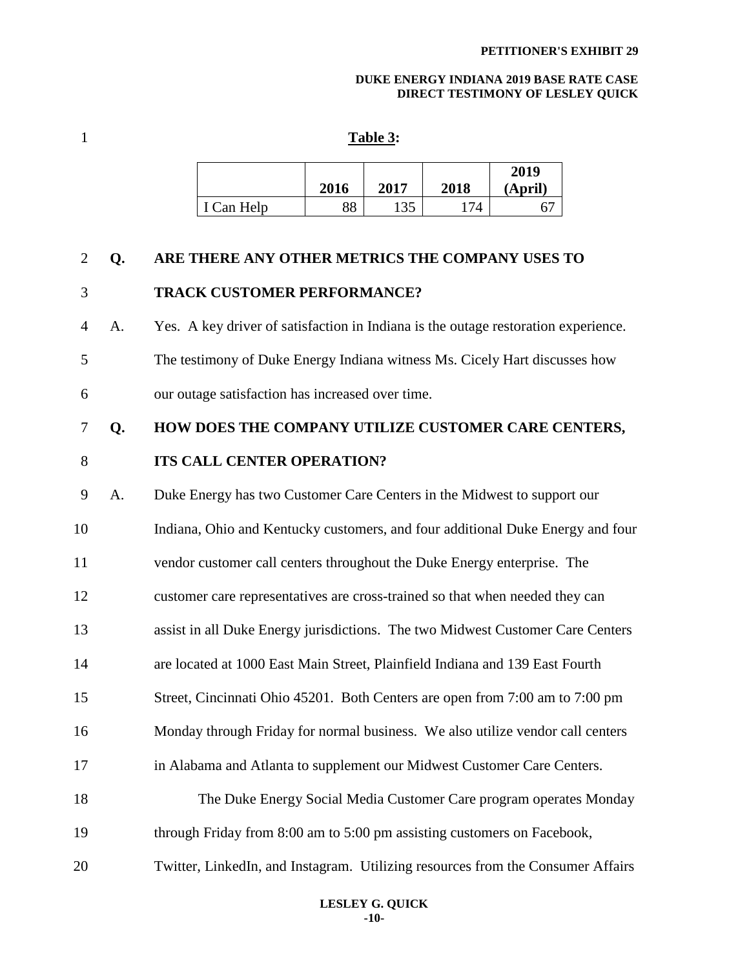#### 1 **Table 3:**

|            | 2016 | 2017 | 2018 | 2019<br>(April) |
|------------|------|------|------|-----------------|
| I Can Help | 88   | 135  | 74   |                 |

### 2 **Q. ARE THERE ANY OTHER METRICS THE COMPANY USES TO**

## 3 **TRACK CUSTOMER PERFORMANCE?**

4 A. Yes. A key driver of satisfaction in Indiana is the outage restoration experience. 5 The testimony of Duke Energy Indiana witness Ms. Cicely Hart discusses how 6 our outage satisfaction has increased over time.

# 7 **Q. HOW DOES THE COMPANY UTILIZE CUSTOMER CARE CENTERS,**

## 8 **ITS CALL CENTER OPERATION?**

9 A. Duke Energy has two Customer Care Centers in the Midwest to support our 10 Indiana, Ohio and Kentucky customers, and four additional Duke Energy and four 11 vendor customer call centers throughout the Duke Energy enterprise. The 12 customer care representatives are cross-trained so that when needed they can 13 assist in all Duke Energy jurisdictions. The two Midwest Customer Care Centers 14 are located at 1000 East Main Street, Plainfield Indiana and 139 East Fourth 15 Street, Cincinnati Ohio 45201. Both Centers are open from 7:00 am to 7:00 pm 16 Monday through Friday for normal business. We also utilize vendor call centers 17 in Alabama and Atlanta to supplement our Midwest Customer Care Centers. 18 The Duke Energy Social Media Customer Care program operates Monday 19 through Friday from 8:00 am to 5:00 pm assisting customers on Facebook, 20 Twitter, LinkedIn, and Instagram. Utilizing resources from the Consumer Affairs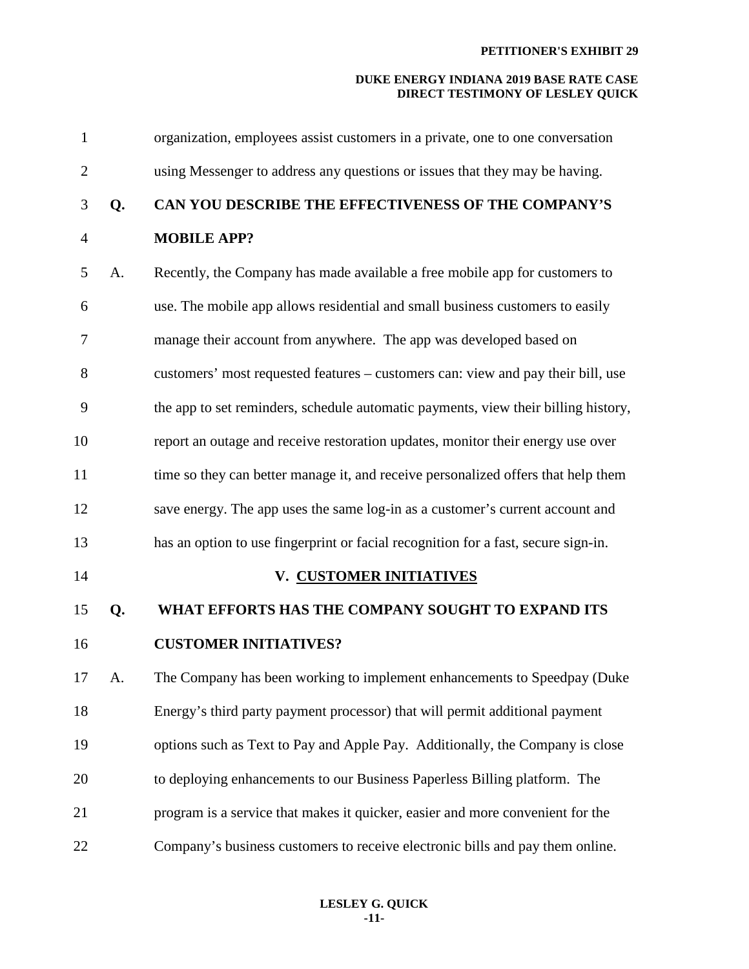| $\mathbf{1}$   |    | organization, employees assist customers in a private, one to one conversation     |
|----------------|----|------------------------------------------------------------------------------------|
| $\mathbf{2}$   |    | using Messenger to address any questions or issues that they may be having.        |
| 3              | Q. | CAN YOU DESCRIBE THE EFFECTIVENESS OF THE COMPANY'S                                |
| $\overline{4}$ |    | <b>MOBILE APP?</b>                                                                 |
| 5              | A. | Recently, the Company has made available a free mobile app for customers to        |
| 6              |    | use. The mobile app allows residential and small business customers to easily      |
| 7              |    | manage their account from anywhere. The app was developed based on                 |
| 8              |    | customers' most requested features - customers can: view and pay their bill, use   |
| 9              |    | the app to set reminders, schedule automatic payments, view their billing history, |
| 10             |    | report an outage and receive restoration updates, monitor their energy use over    |
| 11             |    | time so they can better manage it, and receive personalized offers that help them  |
| 12             |    | save energy. The app uses the same log-in as a customer's current account and      |
| 13             |    | has an option to use fingerprint or facial recognition for a fast, secure sign-in. |
| 14             |    | V. CUSTOMER INITIATIVES                                                            |
| 15             | Q. | WHAT EFFORTS HAS THE COMPANY SOUGHT TO EXPAND ITS                                  |
| 16             |    | <b>CUSTOMER INITIATIVES?</b>                                                       |
| 17             | A. | The Company has been working to implement enhancements to Speedpay (Duke           |
| 18             |    | Energy's third party payment processor) that will permit additional payment        |
| 19             |    | options such as Text to Pay and Apple Pay. Additionally, the Company is close      |
| 20             |    | to deploying enhancements to our Business Paperless Billing platform. The          |
| 21             |    | program is a service that makes it quicker, easier and more convenient for the     |
| 22             |    | Company's business customers to receive electronic bills and pay them online.      |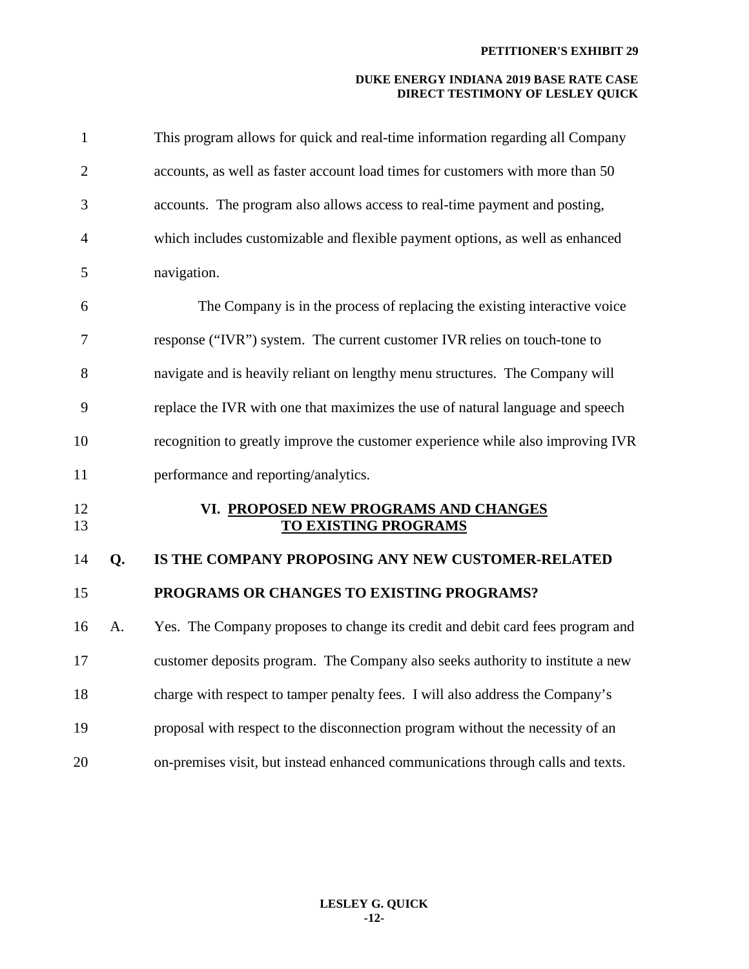| $\mathbf{1}$   |    | This program allows for quick and real-time information regarding all Company   |
|----------------|----|---------------------------------------------------------------------------------|
| $\overline{2}$ |    | accounts, as well as faster account load times for customers with more than 50  |
| 3              |    | accounts. The program also allows access to real-time payment and posting,      |
| $\overline{4}$ |    | which includes customizable and flexible payment options, as well as enhanced   |
| 5              |    | navigation.                                                                     |
| 6              |    | The Company is in the process of replacing the existing interactive voice       |
| 7              |    | response ("IVR") system. The current customer IVR relies on touch-tone to       |
| 8              |    | navigate and is heavily reliant on lengthy menu structures. The Company will    |
| 9              |    | replace the IVR with one that maximizes the use of natural language and speech  |
| 10             |    | recognition to greatly improve the customer experience while also improving IVR |
| 11             |    | performance and reporting/analytics.                                            |
| 12<br>13       |    | VI. PROPOSED NEW PROGRAMS AND CHANGES<br><b>TO EXISTING PROGRAMS</b>            |
| 14             | Q. | IS THE COMPANY PROPOSING ANY NEW CUSTOMER-RELATED                               |
| 15             |    | PROGRAMS OR CHANGES TO EXISTING PROGRAMS?                                       |
| 16             | A. | Yes. The Company proposes to change its credit and debit card fees program and  |
| 17             |    | customer deposits program. The Company also seeks authority to institute a new  |
| 18             |    | charge with respect to tamper penalty fees. I will also address the Company's   |
| 19             |    | proposal with respect to the disconnection program without the necessity of an  |
| 20             |    | on-premises visit, but instead enhanced communications through calls and texts. |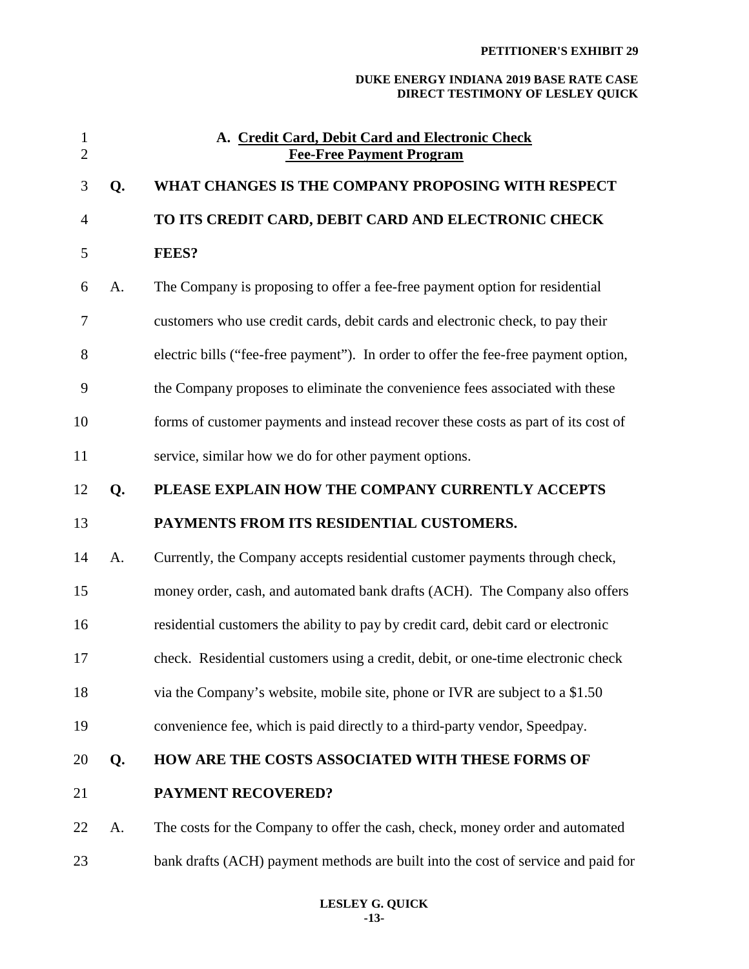#### **PETITIONER'S EXHIBIT 29**

| $\mathbf{1}$<br>$\overline{2}$ |    | A. Credit Card, Debit Card and Electronic Check<br><b>Fee-Free Payment Program</b>  |
|--------------------------------|----|-------------------------------------------------------------------------------------|
| 3                              | Q. | WHAT CHANGES IS THE COMPANY PROPOSING WITH RESPECT                                  |
| 4                              |    | TO ITS CREDIT CARD, DEBIT CARD AND ELECTRONIC CHECK                                 |
| 5                              |    | <b>FEES?</b>                                                                        |
| 6                              | A. | The Company is proposing to offer a fee-free payment option for residential         |
| 7                              |    | customers who use credit cards, debit cards and electronic check, to pay their      |
| 8                              |    | electric bills ("fee-free payment"). In order to offer the fee-free payment option, |
| 9                              |    | the Company proposes to eliminate the convenience fees associated with these        |
| 10                             |    | forms of customer payments and instead recover these costs as part of its cost of   |
| 11                             |    | service, similar how we do for other payment options.                               |
| 12                             | Q. | PLEASE EXPLAIN HOW THE COMPANY CURRENTLY ACCEPTS                                    |
| 13                             |    | PAYMENTS FROM ITS RESIDENTIAL CUSTOMERS.                                            |
| 14                             | A. | Currently, the Company accepts residential customer payments through check,         |
| 15                             |    | money order, cash, and automated bank drafts (ACH). The Company also offers         |
| 16                             |    | residential customers the ability to pay by credit card, debit card or electronic   |
| 17                             |    | check. Residential customers using a credit, debit, or one-time electronic check    |
| 18                             |    | via the Company's website, mobile site, phone or IVR are subject to a \$1.50        |
| 19                             |    | convenience fee, which is paid directly to a third-party vendor, Speedpay.          |
| 20                             | Q. | HOW ARE THE COSTS ASSOCIATED WITH THESE FORMS OF                                    |
| 21                             |    | <b>PAYMENT RECOVERED?</b>                                                           |
| 22                             | A. | The costs for the Company to offer the cash, check, money order and automated       |
| 23                             |    | bank drafts (ACH) payment methods are built into the cost of service and paid for   |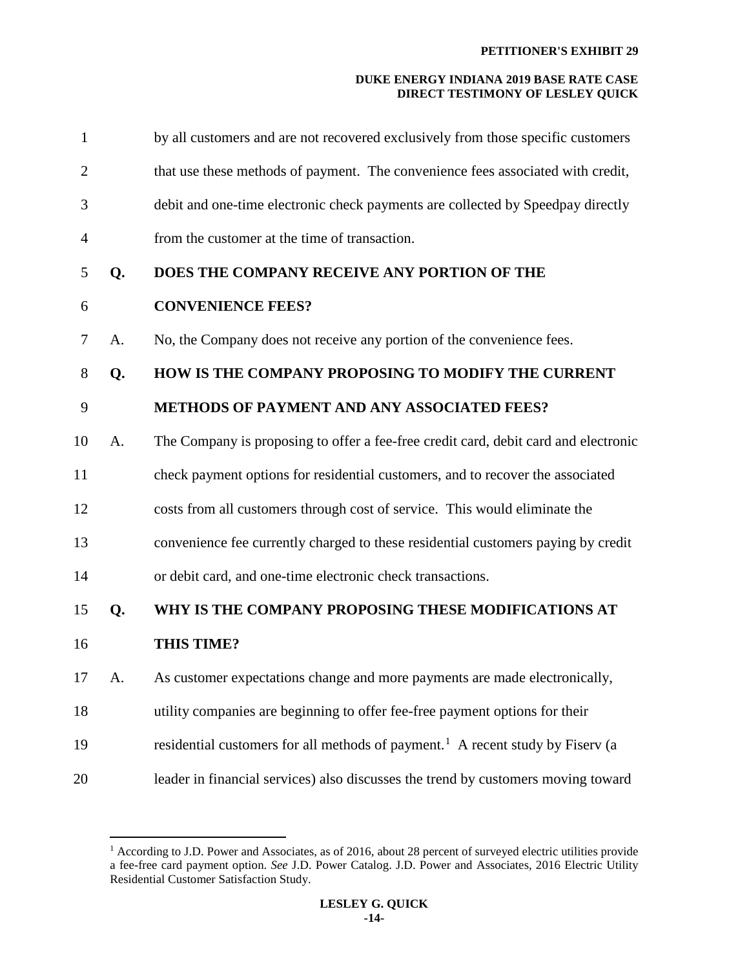| $\mathbf{1}$   |    | by all customers and are not recovered exclusively from those specific customers           |
|----------------|----|--------------------------------------------------------------------------------------------|
| $\overline{2}$ |    | that use these methods of payment. The convenience fees associated with credit,            |
| 3              |    | debit and one-time electronic check payments are collected by Speedpay directly            |
| $\overline{4}$ |    | from the customer at the time of transaction.                                              |
| 5              | Q. | DOES THE COMPANY RECEIVE ANY PORTION OF THE                                                |
| 6              |    | <b>CONVENIENCE FEES?</b>                                                                   |
| 7              | A. | No, the Company does not receive any portion of the convenience fees.                      |
| 8              | Q. | HOW IS THE COMPANY PROPOSING TO MODIFY THE CURRENT                                         |
| 9              |    | METHODS OF PAYMENT AND ANY ASSOCIATED FEES?                                                |
| 10             | A. | The Company is proposing to offer a fee-free credit card, debit card and electronic        |
| 11             |    | check payment options for residential customers, and to recover the associated             |
| 12             |    | costs from all customers through cost of service. This would eliminate the                 |
| 13             |    | convenience fee currently charged to these residential customers paying by credit          |
| 14             |    | or debit card, and one-time electronic check transactions.                                 |
| 15             | Q. | WHY IS THE COMPANY PROPOSING THESE MODIFICATIONS AT                                        |
| 16             |    | <b>THIS TIME?</b>                                                                          |
| 17             | A. | As customer expectations change and more payments are made electronically,                 |
| 18             |    | utility companies are beginning to offer fee-free payment options for their                |
| 19             |    | residential customers for all methods of payment. <sup>1</sup> A recent study by Fiserv (a |
| 20             |    | leader in financial services) also discusses the trend by customers moving toward          |

 $\overline{a}$ 

<span id="page-14-0"></span><sup>&</sup>lt;sup>1</sup> According to J.D. Power and Associates, as of 2016, about 28 percent of surveyed electric utilities provide a fee-free card payment option. *See* J.D. Power Catalog. J.D. Power and Associates, 2016 Electric Utility Residential Customer Satisfaction Study.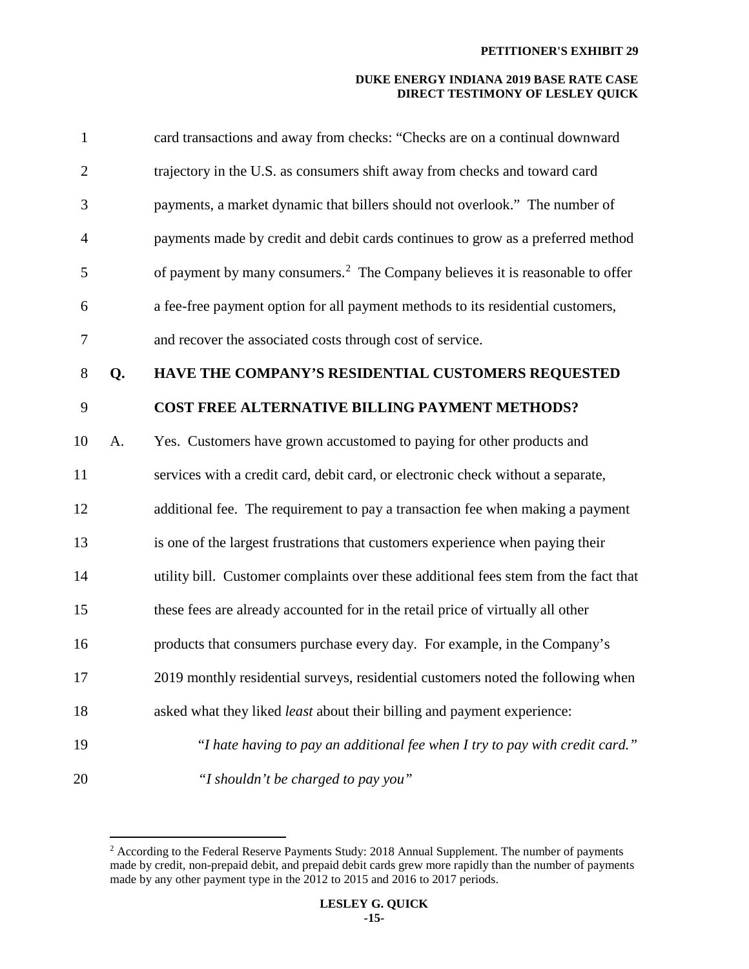| $\mathbf{1}$   |    | card transactions and away from checks: "Checks are on a continual downward               |
|----------------|----|-------------------------------------------------------------------------------------------|
| $\overline{2}$ |    | trajectory in the U.S. as consumers shift away from checks and toward card                |
| 3              |    | payments, a market dynamic that billers should not overlook." The number of               |
| $\overline{4}$ |    | payments made by credit and debit cards continues to grow as a preferred method           |
| 5              |    | of payment by many consumers. <sup>2</sup> The Company believes it is reasonable to offer |
| 6              |    | a fee-free payment option for all payment methods to its residential customers,           |
| 7              |    | and recover the associated costs through cost of service.                                 |
| 8              | Q. | HAVE THE COMPANY'S RESIDENTIAL CUSTOMERS REQUESTED                                        |
| 9              |    | <b>COST FREE ALTERNATIVE BILLING PAYMENT METHODS?</b>                                     |
| 10             | A. | Yes. Customers have grown accustomed to paying for other products and                     |
| 11             |    | services with a credit card, debit card, or electronic check without a separate,          |
| 12             |    | additional fee. The requirement to pay a transaction fee when making a payment            |
| 13             |    | is one of the largest frustrations that customers experience when paying their            |
| 14             |    | utility bill. Customer complaints over these additional fees stem from the fact that      |
| 15             |    | these fees are already accounted for in the retail price of virtually all other           |
| 16             |    | products that consumers purchase every day. For example, in the Company's                 |
| 17             |    | 2019 monthly residential surveys, residential customers noted the following when          |
| 18             |    | asked what they liked <i>least</i> about their billing and payment experience:            |
| 19             |    | "I hate having to pay an additional fee when I try to pay with credit card."              |
| 20             |    | "I shouldn't be charged to pay you"                                                       |

 $\overline{a}$ 

<span id="page-15-0"></span> $2$  According to the Federal Reserve Payments Study: 2018 Annual Supplement. The number of payments made by credit, non-prepaid debit, and prepaid debit cards grew more rapidly than the number of payments made by any other payment type in the 2012 to 2015 and 2016 to 2017 periods.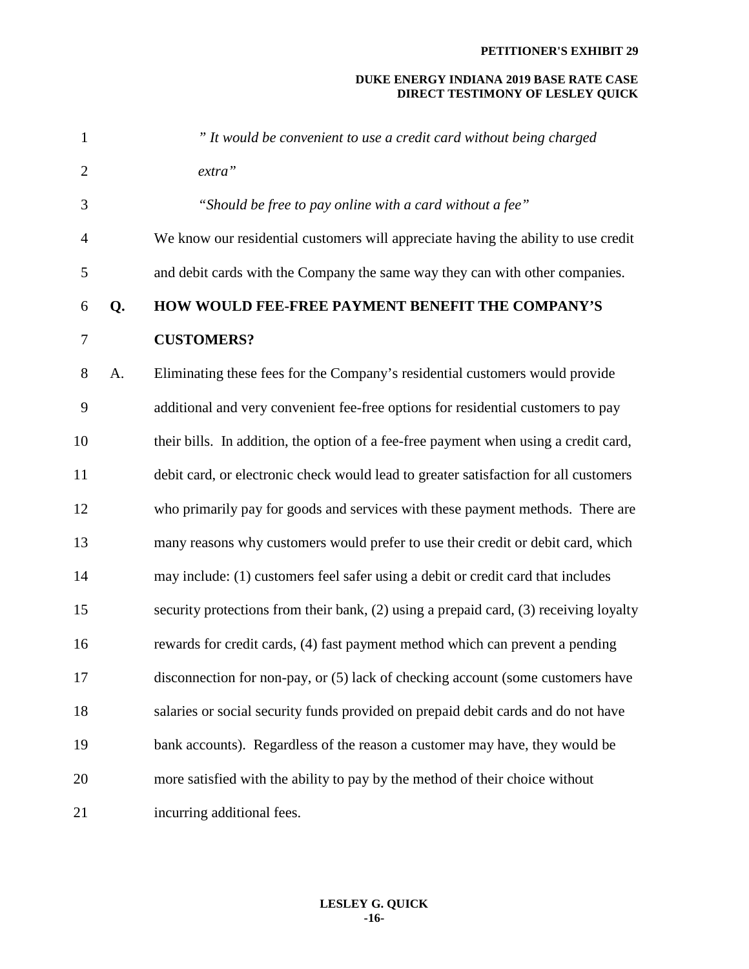| $\mathbf{1}$   |    | " It would be convenient to use a credit card without being charged                   |
|----------------|----|---------------------------------------------------------------------------------------|
| $\overline{2}$ |    | extra"                                                                                |
| 3              |    | "Should be free to pay online with a card without a fee"                              |
| $\overline{4}$ |    | We know our residential customers will appreciate having the ability to use credit    |
| 5              |    | and debit cards with the Company the same way they can with other companies.          |
| 6              | Q. | HOW WOULD FEE-FREE PAYMENT BENEFIT THE COMPANY'S                                      |
| 7              |    | <b>CUSTOMERS?</b>                                                                     |
| 8              | A. | Eliminating these fees for the Company's residential customers would provide          |
| 9              |    | additional and very convenient fee-free options for residential customers to pay      |
| 10             |    | their bills. In addition, the option of a fee-free payment when using a credit card,  |
| 11             |    | debit card, or electronic check would lead to greater satisfaction for all customers  |
| 12             |    | who primarily pay for goods and services with these payment methods. There are        |
| 13             |    | many reasons why customers would prefer to use their credit or debit card, which      |
| 14             |    | may include: (1) customers feel safer using a debit or credit card that includes      |
| 15             |    | security protections from their bank, (2) using a prepaid card, (3) receiving loyalty |
| 16             |    | rewards for credit cards, (4) fast payment method which can prevent a pending         |
| 17             |    | disconnection for non-pay, or (5) lack of checking account (some customers have       |
| 18             |    | salaries or social security funds provided on prepaid debit cards and do not have     |
| 19             |    | bank accounts). Regardless of the reason a customer may have, they would be           |
| 20             |    | more satisfied with the ability to pay by the method of their choice without          |
| 21             |    | incurring additional fees.                                                            |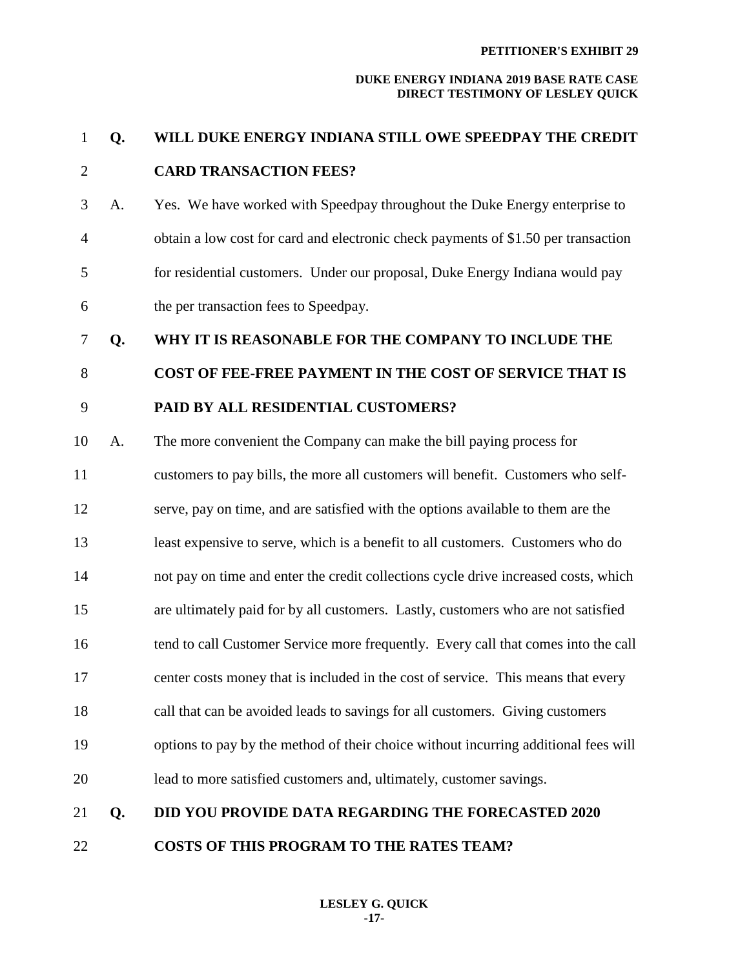# 1 **Q. WILL DUKE ENERGY INDIANA STILL OWE SPEEDPAY THE CREDIT**  2 **CARD TRANSACTION FEES?**

3 A. Yes. We have worked with Speedpay throughout the Duke Energy enterprise to 4 obtain a low cost for card and electronic check payments of \$1.50 per transaction 5 for residential customers. Under our proposal, Duke Energy Indiana would pay 6 the per transaction fees to Speedpay.

## 7 **Q. WHY IT IS REASONABLE FOR THE COMPANY TO INCLUDE THE**

# 8 **COST OF FEE-FREE PAYMENT IN THE COST OF SERVICE THAT IS**

- 9 **PAID BY ALL RESIDENTIAL CUSTOMERS?**
- 10 A. The more convenient the Company can make the bill paying process for
- 11 customers to pay bills, the more all customers will benefit. Customers who self-
- 12 serve, pay on time, and are satisfied with the options available to them are the
- 13 least expensive to serve, which is a benefit to all customers. Customers who do
- 14 not pay on time and enter the credit collections cycle drive increased costs, which
- 15 are ultimately paid for by all customers. Lastly, customers who are not satisfied
- 16 tend to call Customer Service more frequently. Every call that comes into the call
- 17 center costs money that is included in the cost of service. This means that every
- 
- 18 call that can be avoided leads to savings for all customers. Giving customers
- 19 options to pay by the method of their choice without incurring additional fees will
- 20 lead to more satisfied customers and, ultimately, customer savings.

# 21 **Q. DID YOU PROVIDE DATA REGARDING THE FORECASTED 2020**

22 **COSTS OF THIS PROGRAM TO THE RATES TEAM?**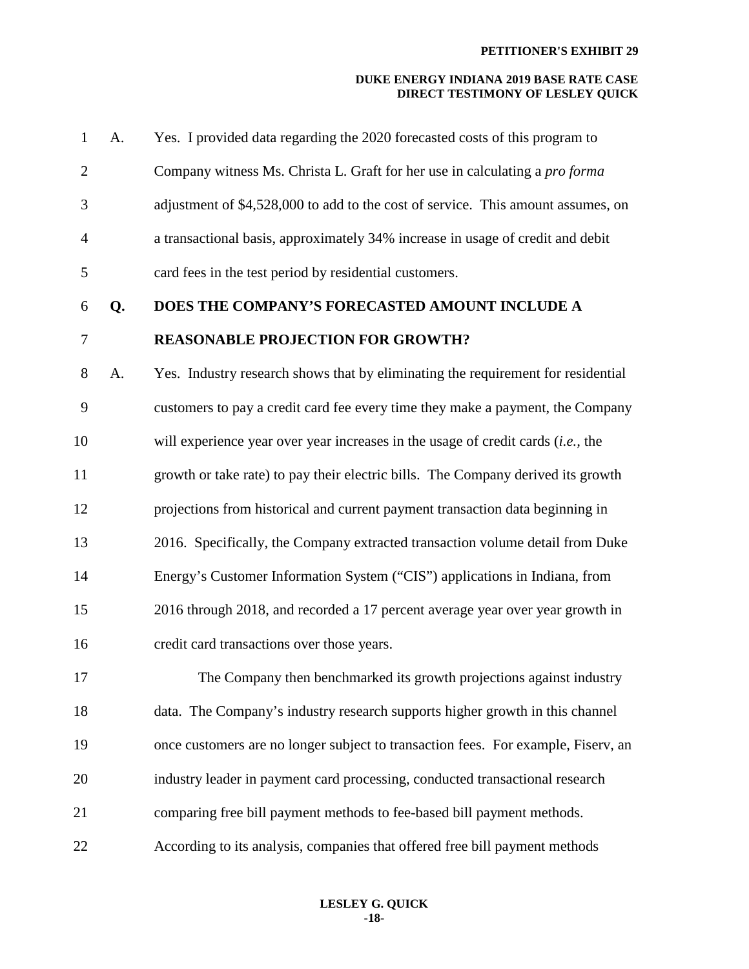| $\mathbf{1}$   | A. | Yes. I provided data regarding the 2020 forecasted costs of this program to        |
|----------------|----|------------------------------------------------------------------------------------|
| $\overline{2}$ |    | Company witness Ms. Christa L. Graft for her use in calculating a <i>pro forma</i> |
| 3              |    | adjustment of \$4,528,000 to add to the cost of service. This amount assumes, on   |
| $\overline{4}$ |    | a transactional basis, approximately 34% increase in usage of credit and debit     |
| 5              |    | card fees in the test period by residential customers.                             |
| 6              | Q. | DOES THE COMPANY'S FORECASTED AMOUNT INCLUDE A                                     |
| 7              |    | <b>REASONABLE PROJECTION FOR GROWTH?</b>                                           |
| 8              | A. | Yes. Industry research shows that by eliminating the requirement for residential   |
| 9              |    | customers to pay a credit card fee every time they make a payment, the Company     |
| 10             |    | will experience year over year increases in the usage of credit cards $(i.e.,$ the |
| 11             |    | growth or take rate) to pay their electric bills. The Company derived its growth   |
| 12             |    | projections from historical and current payment transaction data beginning in      |
| 13             |    | 2016. Specifically, the Company extracted transaction volume detail from Duke      |
| 14             |    | Energy's Customer Information System ("CIS") applications in Indiana, from         |
| 15             |    | 2016 through 2018, and recorded a 17 percent average year over year growth in      |
| 16             |    | credit card transactions over those years.                                         |
| 17             |    | The Company then benchmarked its growth projections against industry               |
| 18             |    | data. The Company's industry research supports higher growth in this channel       |
| 19             |    | once customers are no longer subject to transaction fees. For example, Fiserv, an  |
| 20             |    | industry leader in payment card processing, conducted transactional research       |
| 21             |    | comparing free bill payment methods to fee-based bill payment methods.             |
| 22             |    | According to its analysis, companies that offered free bill payment methods        |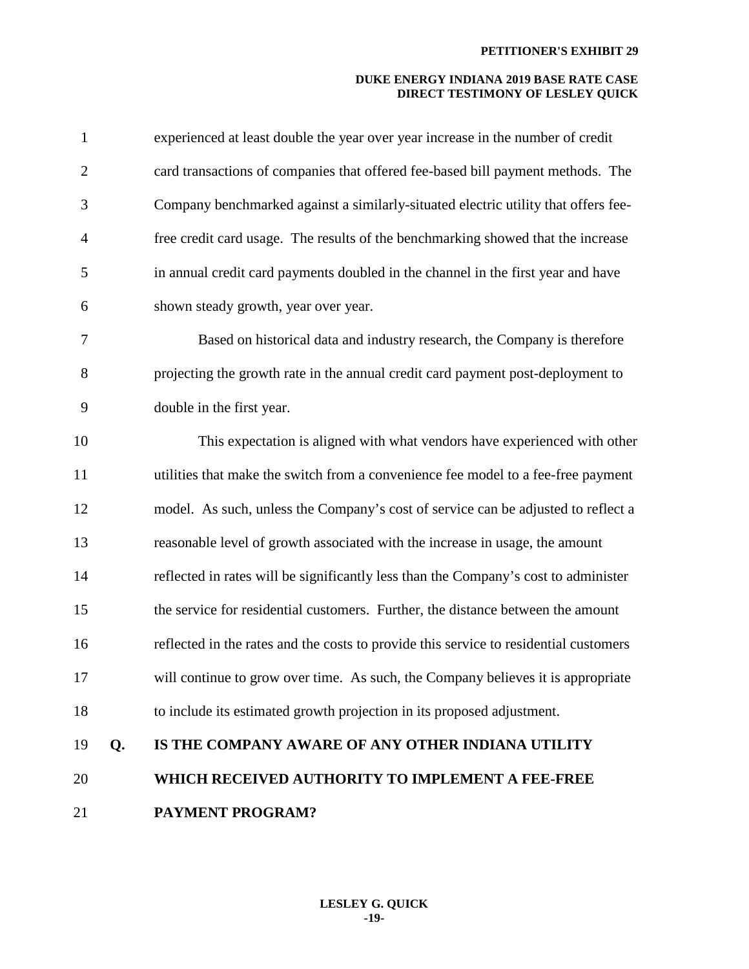| $\mathbf{1}$   |    | experienced at least double the year over year increase in the number of credit       |
|----------------|----|---------------------------------------------------------------------------------------|
| $\overline{2}$ |    | card transactions of companies that offered fee-based bill payment methods. The       |
| 3              |    | Company benchmarked against a similarly-situated electric utility that offers fee-    |
| $\overline{4}$ |    | free credit card usage. The results of the benchmarking showed that the increase      |
| 5              |    | in annual credit card payments doubled in the channel in the first year and have      |
| 6              |    | shown steady growth, year over year.                                                  |
| 7              |    | Based on historical data and industry research, the Company is therefore              |
| 8              |    | projecting the growth rate in the annual credit card payment post-deployment to       |
| 9              |    | double in the first year.                                                             |
| 10             |    | This expectation is aligned with what vendors have experienced with other             |
| 11             |    | utilities that make the switch from a convenience fee model to a fee-free payment     |
| 12             |    | model. As such, unless the Company's cost of service can be adjusted to reflect a     |
| 13             |    | reasonable level of growth associated with the increase in usage, the amount          |
| 14             |    | reflected in rates will be significantly less than the Company's cost to administer   |
| 15             |    | the service for residential customers. Further, the distance between the amount       |
| 16             |    | reflected in the rates and the costs to provide this service to residential customers |
| 17             |    | will continue to grow over time. As such, the Company believes it is appropriate      |
| 18             |    | to include its estimated growth projection in its proposed adjustment.                |
| 19             | Q. | IS THE COMPANY AWARE OF ANY OTHER INDIANA UTILITY                                     |
| 20             |    | WHICH RECEIVED AUTHORITY TO IMPLEMENT A FEE-FREE                                      |
| 21             |    | <b>PAYMENT PROGRAM?</b>                                                               |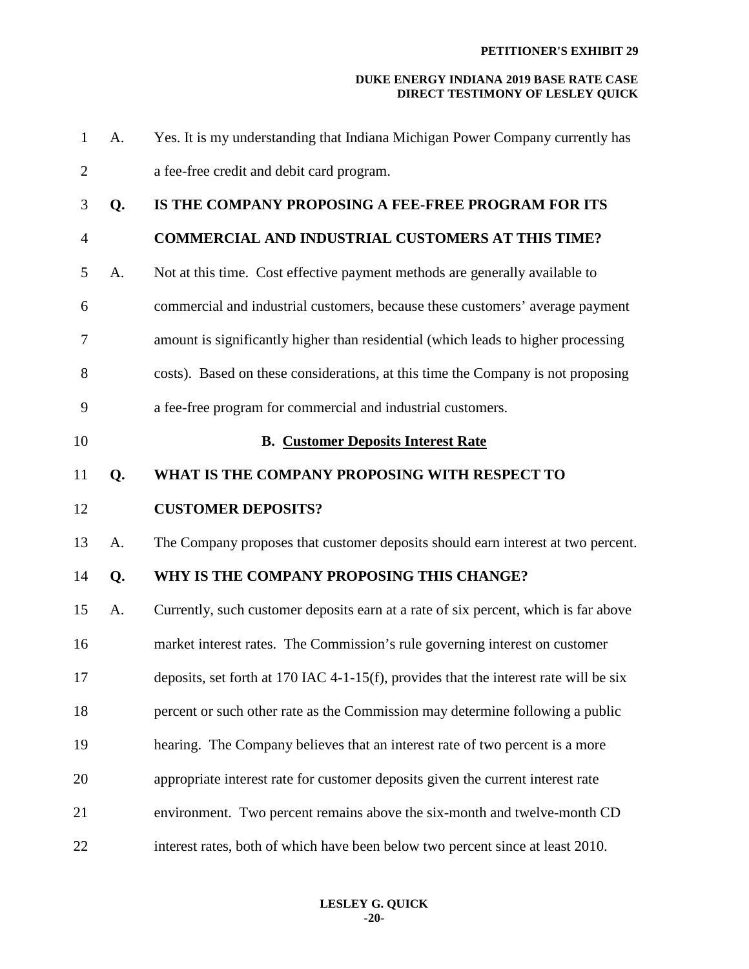| $\mathbf{1}$   | A. | Yes. It is my understanding that Indiana Michigan Power Company currently has         |
|----------------|----|---------------------------------------------------------------------------------------|
| $\overline{2}$ |    | a fee-free credit and debit card program.                                             |
| 3              | Q. | IS THE COMPANY PROPOSING A FEE-FREE PROGRAM FOR ITS                                   |
| $\overline{4}$ |    | <b>COMMERCIAL AND INDUSTRIAL CUSTOMERS AT THIS TIME?</b>                              |
| 5              | A. | Not at this time. Cost effective payment methods are generally available to           |
| 6              |    | commercial and industrial customers, because these customers' average payment         |
| 7              |    | amount is significantly higher than residential (which leads to higher processing     |
| 8              |    | costs). Based on these considerations, at this time the Company is not proposing      |
| 9              |    | a fee-free program for commercial and industrial customers.                           |
| 10             |    | <b>B. Customer Deposits Interest Rate</b>                                             |
| 11             | Q. | WHAT IS THE COMPANY PROPOSING WITH RESPECT TO                                         |
| 12             |    | <b>CUSTOMER DEPOSITS?</b>                                                             |
| 13             | A. | The Company proposes that customer deposits should earn interest at two percent.      |
| 14             | Q. | WHY IS THE COMPANY PROPOSING THIS CHANGE?                                             |
| 15             | A. | Currently, such customer deposits earn at a rate of six percent, which is far above   |
| 16             |    | market interest rates. The Commission's rule governing interest on customer           |
| 17             |    | deposits, set forth at 170 IAC 4-1-15(f), provides that the interest rate will be six |
| 18             |    | percent or such other rate as the Commission may determine following a public         |
| 19             |    | hearing. The Company believes that an interest rate of two percent is a more          |
| 20             |    | appropriate interest rate for customer deposits given the current interest rate       |
| 21             |    | environment. Two percent remains above the six-month and twelve-month CD              |
| 22             |    | interest rates, both of which have been below two percent since at least 2010.        |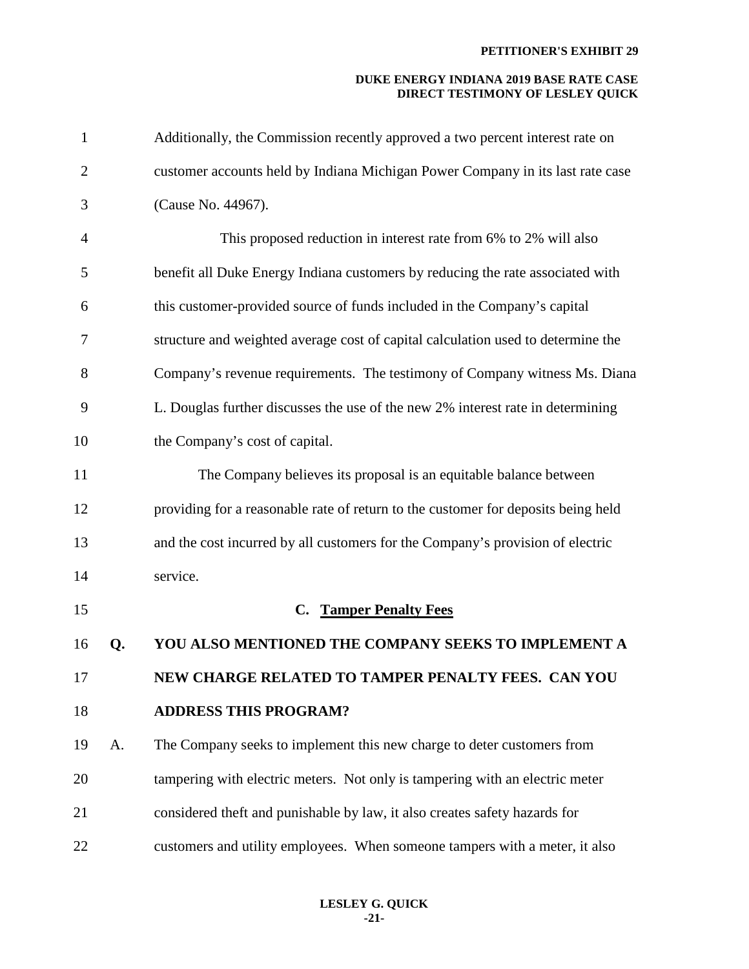| $\mathbf{1}$   |    | Additionally, the Commission recently approved a two percent interest rate on     |
|----------------|----|-----------------------------------------------------------------------------------|
| $\overline{2}$ |    | customer accounts held by Indiana Michigan Power Company in its last rate case    |
| 3              |    | (Cause No. 44967).                                                                |
| $\overline{4}$ |    | This proposed reduction in interest rate from 6% to 2% will also                  |
| 5              |    | benefit all Duke Energy Indiana customers by reducing the rate associated with    |
| 6              |    | this customer-provided source of funds included in the Company's capital          |
| $\tau$         |    | structure and weighted average cost of capital calculation used to determine the  |
| 8              |    | Company's revenue requirements. The testimony of Company witness Ms. Diana        |
| 9              |    | L. Douglas further discusses the use of the new 2% interest rate in determining   |
| 10             |    | the Company's cost of capital.                                                    |
| 11             |    | The Company believes its proposal is an equitable balance between                 |
| 12             |    | providing for a reasonable rate of return to the customer for deposits being held |
| 13             |    | and the cost incurred by all customers for the Company's provision of electric    |
| 14             |    | service.                                                                          |
| 15             |    | <b>Tamper Penalty Fees</b><br>C.                                                  |
| 16             | Q. | YOU ALSO MENTIONED THE COMPANY SEEKS TO IMPLEMENT A                               |
| 17             |    | NEW CHARGE RELATED TO TAMPER PENALTY FEES. CAN YOU                                |
| 18             |    | <b>ADDRESS THIS PROGRAM?</b>                                                      |
| 19             | A. | The Company seeks to implement this new charge to deter customers from            |
| 20             |    | tampering with electric meters. Not only is tampering with an electric meter      |
| 21             |    | considered theft and punishable by law, it also creates safety hazards for        |
| 22             |    | customers and utility employees. When someone tampers with a meter, it also       |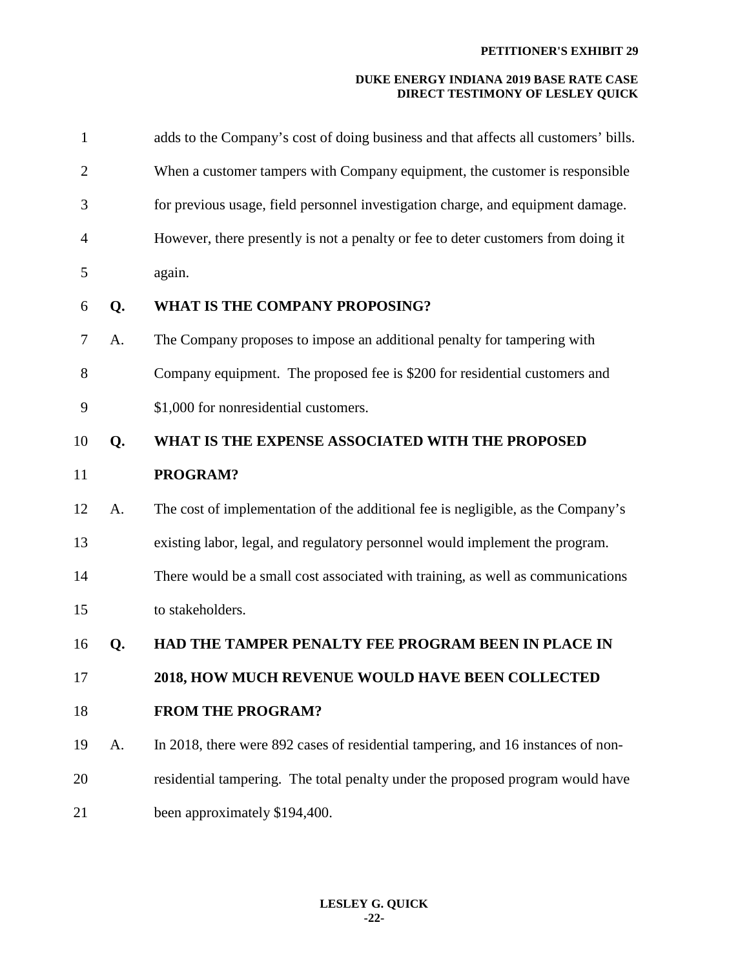| $\mathbf{1}$   |    | adds to the Company's cost of doing business and that affects all customers' bills. |
|----------------|----|-------------------------------------------------------------------------------------|
| $\overline{2}$ |    | When a customer tampers with Company equipment, the customer is responsible         |
| 3              |    | for previous usage, field personnel investigation charge, and equipment damage.     |
| $\overline{4}$ |    | However, there presently is not a penalty or fee to deter customers from doing it   |
| 5              |    | again.                                                                              |
| 6              | Q. | WHAT IS THE COMPANY PROPOSING?                                                      |
| $\tau$         | A. | The Company proposes to impose an additional penalty for tampering with             |
| 8              |    | Company equipment. The proposed fee is \$200 for residential customers and          |
| 9              |    | \$1,000 for nonresidential customers.                                               |
| 10             | Q. | WHAT IS THE EXPENSE ASSOCIATED WITH THE PROPOSED                                    |
| 11             |    | PROGRAM?                                                                            |
| 12             | A. | The cost of implementation of the additional fee is negligible, as the Company's    |
| 13             |    | existing labor, legal, and regulatory personnel would implement the program.        |
| 14             |    | There would be a small cost associated with training, as well as communications     |
| 15             |    | to stakeholders.                                                                    |
| 16             | Q. | HAD THE TAMPER PENALTY FEE PROGRAM BEEN IN PLACE IN                                 |
| 17             |    | 2018, HOW MUCH REVENUE WOULD HAVE BEEN COLLECTED                                    |
| 18             |    | <b>FROM THE PROGRAM?</b>                                                            |
| 19             | A. | In 2018, there were 892 cases of residential tampering, and 16 instances of non-    |
| 20             |    | residential tampering. The total penalty under the proposed program would have      |
| 21             |    | been approximately \$194,400.                                                       |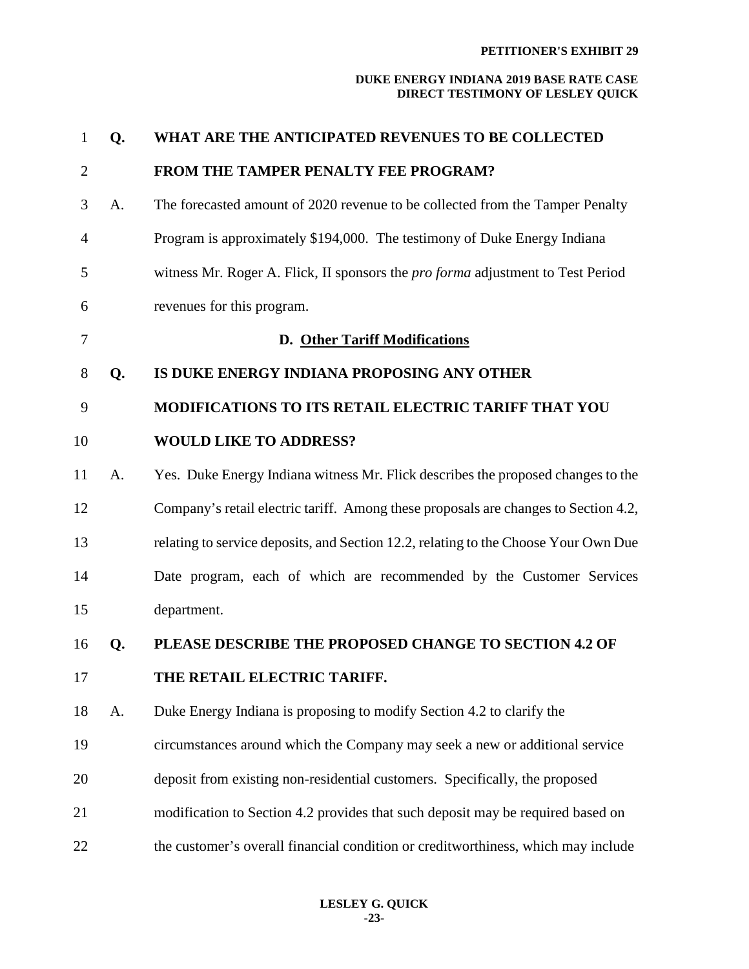| $\mathbf{1}$   | Q. | WHAT ARE THE ANTICIPATED REVENUES TO BE COLLECTED                                      |
|----------------|----|----------------------------------------------------------------------------------------|
| $\overline{2}$ |    | <b>FROM THE TAMPER PENALTY FEE PROGRAM?</b>                                            |
| 3              | A. | The forecasted amount of 2020 revenue to be collected from the Tamper Penalty          |
| $\overline{4}$ |    | Program is approximately \$194,000. The testimony of Duke Energy Indiana               |
| 5              |    | witness Mr. Roger A. Flick, II sponsors the <i>pro forma</i> adjustment to Test Period |
| 6              |    | revenues for this program.                                                             |
| $\tau$         |    | <b>D.</b> Other Tariff Modifications                                                   |
| $8\phantom{1}$ | Q. | IS DUKE ENERGY INDIANA PROPOSING ANY OTHER                                             |
| 9              |    | MODIFICATIONS TO ITS RETAIL ELECTRIC TARIFF THAT YOU                                   |
| 10             |    | <b>WOULD LIKE TO ADDRESS?</b>                                                          |
| 11             | A. | Yes. Duke Energy Indiana witness Mr. Flick describes the proposed changes to the       |
| 12             |    | Company's retail electric tariff. Among these proposals are changes to Section 4.2,    |
| 13             |    | relating to service deposits, and Section 12.2, relating to the Choose Your Own Due    |
| 14             |    | Date program, each of which are recommended by the Customer Services                   |
| 15             |    | department.                                                                            |
| 16             | Q. | PLEASE DESCRIBE THE PROPOSED CHANGE TO SECTION 4.2 OF                                  |
| 17             |    | THE RETAIL ELECTRIC TARIFF.                                                            |
| 18             | A. | Duke Energy Indiana is proposing to modify Section 4.2 to clarify the                  |
| 19             |    | circumstances around which the Company may seek a new or additional service            |
| 20             |    | deposit from existing non-residential customers. Specifically, the proposed            |
| 21             |    | modification to Section 4.2 provides that such deposit may be required based on        |
| 22             |    | the customer's overall financial condition or creditworthiness, which may include      |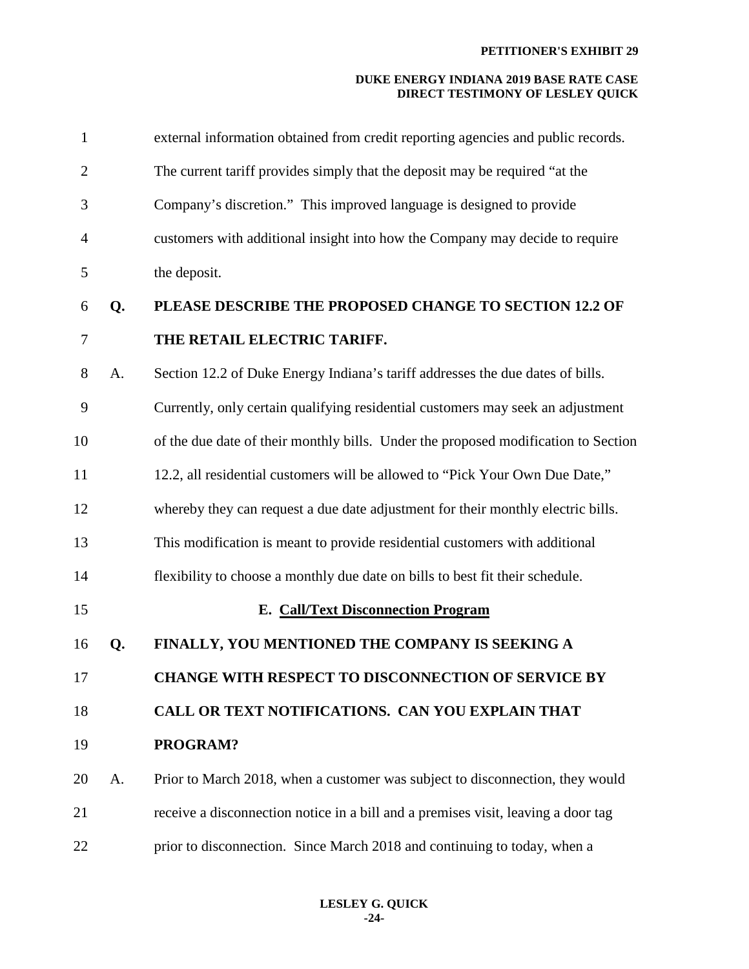| $\mathbf{1}$   |    | external information obtained from credit reporting agencies and public records.   |
|----------------|----|------------------------------------------------------------------------------------|
| $\overline{2}$ |    | The current tariff provides simply that the deposit may be required "at the        |
| 3              |    | Company's discretion." This improved language is designed to provide               |
| $\overline{4}$ |    | customers with additional insight into how the Company may decide to require       |
| 5              |    | the deposit.                                                                       |
| 6              | Q. | PLEASE DESCRIBE THE PROPOSED CHANGE TO SECTION 12.2 OF                             |
| 7              |    | THE RETAIL ELECTRIC TARIFF.                                                        |
| 8              | A. | Section 12.2 of Duke Energy Indiana's tariff addresses the due dates of bills.     |
| 9              |    | Currently, only certain qualifying residential customers may seek an adjustment    |
| 10             |    | of the due date of their monthly bills. Under the proposed modification to Section |
| 11             |    | 12.2, all residential customers will be allowed to "Pick Your Own Due Date,"       |
| 12             |    | whereby they can request a due date adjustment for their monthly electric bills.   |
| 13             |    | This modification is meant to provide residential customers with additional        |
| 14             |    | flexibility to choose a monthly due date on bills to best fit their schedule.      |
| 15             |    | <b>E. Call/Text Disconnection Program</b>                                          |
| 16             | Q. | FINALLY, YOU MENTIONED THE COMPANY IS SEEKING A                                    |
| 17             |    | CHANGE WITH RESPECT TO DISCONNECTION OF SERVICE BY                                 |
| 18             |    | CALL OR TEXT NOTIFICATIONS. CAN YOU EXPLAIN THAT                                   |
| 19             |    | PROGRAM?                                                                           |
| 20             | A. | Prior to March 2018, when a customer was subject to disconnection, they would      |
| 21             |    | receive a disconnection notice in a bill and a premises visit, leaving a door tag  |
| 22             |    | prior to disconnection. Since March 2018 and continuing to today, when a           |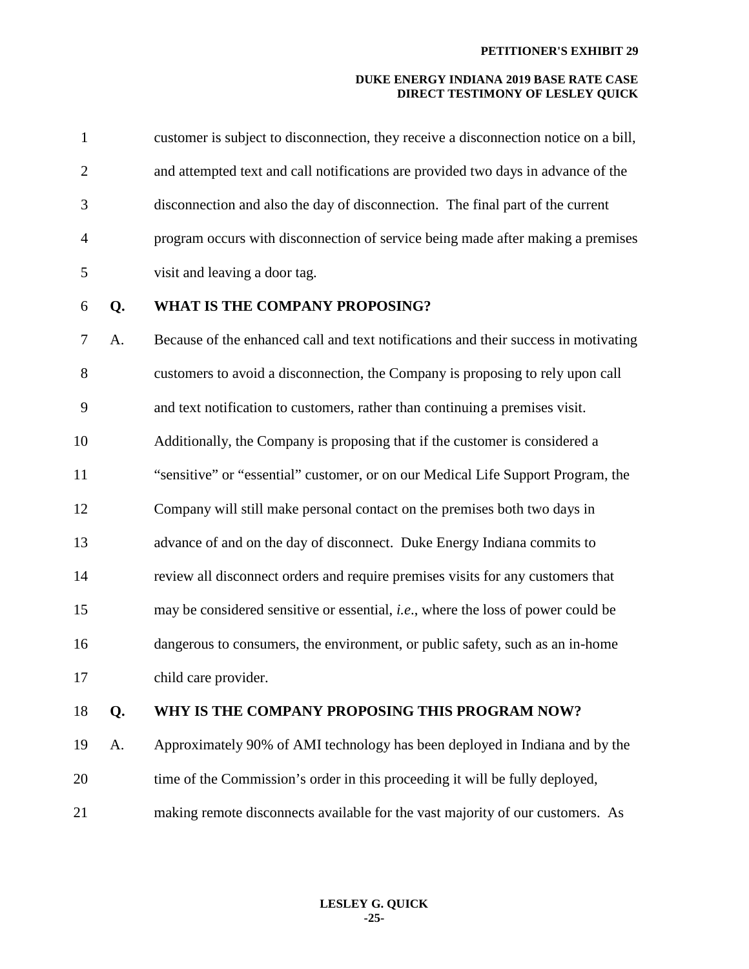| $\mathbf{1}$   |    | customer is subject to disconnection, they receive a disconnection notice on a bill,     |
|----------------|----|------------------------------------------------------------------------------------------|
| $\overline{2}$ |    | and attempted text and call notifications are provided two days in advance of the        |
| 3              |    | disconnection and also the day of disconnection. The final part of the current           |
| $\overline{4}$ |    | program occurs with disconnection of service being made after making a premises          |
| 5              |    | visit and leaving a door tag.                                                            |
| 6              | Q. | WHAT IS THE COMPANY PROPOSING?                                                           |
| 7              | A. | Because of the enhanced call and text notifications and their success in motivating      |
| 8              |    | customers to avoid a disconnection, the Company is proposing to rely upon call           |
| 9              |    | and text notification to customers, rather than continuing a premises visit.             |
| 10             |    | Additionally, the Company is proposing that if the customer is considered a              |
| 11             |    | "sensitive" or "essential" customer, or on our Medical Life Support Program, the         |
| 12             |    | Company will still make personal contact on the premises both two days in                |
| 13             |    | advance of and on the day of disconnect. Duke Energy Indiana commits to                  |
| 14             |    | review all disconnect orders and require premises visits for any customers that          |
| 15             |    | may be considered sensitive or essential, <i>i.e.</i> , where the loss of power could be |
| 16             |    | dangerous to consumers, the environment, or public safety, such as an in-home            |
| 17             |    | child care provider.                                                                     |
| 18             | Q. | WHY IS THE COMPANY PROPOSING THIS PROGRAM NOW?                                           |
| 19             | A. | Approximately 90% of AMI technology has been deployed in Indiana and by the              |
| 20             |    | time of the Commission's order in this proceeding it will be fully deployed,             |
|                |    |                                                                                          |

21 making remote disconnects available for the vast majority of our customers. As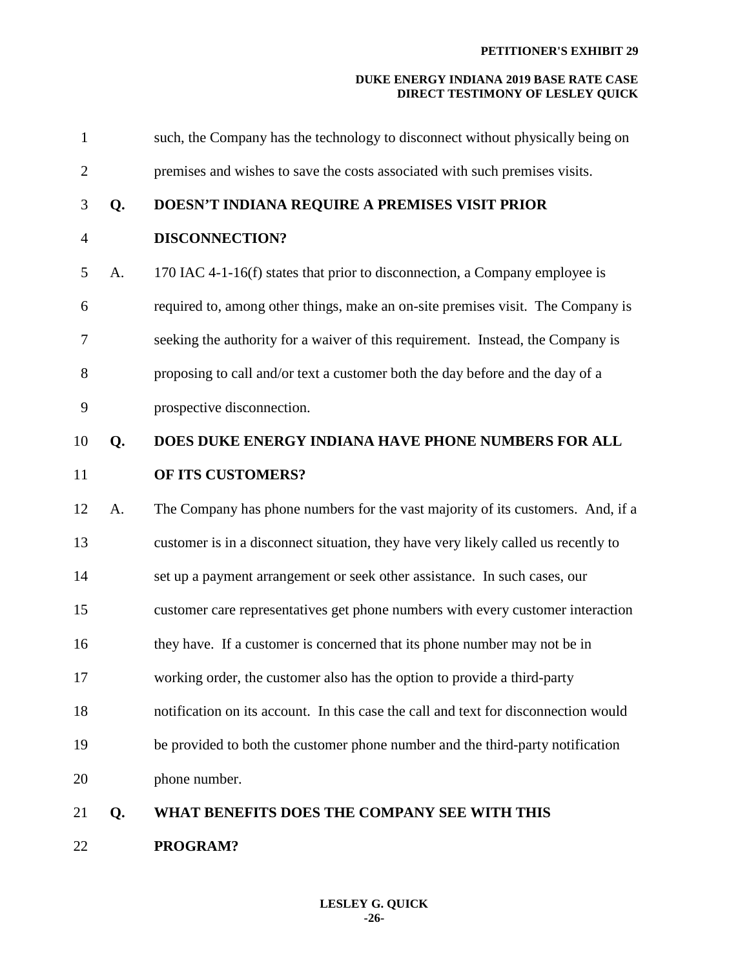| 21             | Q. | WHAT BENEFITS DOES THE COMPANY SEE WITH THIS                                        |
|----------------|----|-------------------------------------------------------------------------------------|
| 20             |    | phone number.                                                                       |
| 19             |    | be provided to both the customer phone number and the third-party notification      |
| 18             |    | notification on its account. In this case the call and text for disconnection would |
| 17             |    | working order, the customer also has the option to provide a third-party            |
| 16             |    | they have. If a customer is concerned that its phone number may not be in           |
| 15             |    | customer care representatives get phone numbers with every customer interaction     |
| 14             |    | set up a payment arrangement or seek other assistance. In such cases, our           |
| 13             |    | customer is in a disconnect situation, they have very likely called us recently to  |
| 12             | A. | The Company has phone numbers for the vast majority of its customers. And, if a     |
| 11             |    | OF ITS CUSTOMERS?                                                                   |
| 10             | Q. | DOES DUKE ENERGY INDIANA HAVE PHONE NUMBERS FOR ALL                                 |
| 9              |    | prospective disconnection.                                                          |
| 8              |    | proposing to call and/or text a customer both the day before and the day of a       |
| 7              |    | seeking the authority for a waiver of this requirement. Instead, the Company is     |
| 6              |    | required to, among other things, make an on-site premises visit. The Company is     |
| 5              | A. | 170 IAC 4-1-16(f) states that prior to disconnection, a Company employee is         |
| $\overline{4}$ |    | <b>DISCONNECTION?</b>                                                               |
| 3              | Q. | DOESN'T INDIANA REQUIRE A PREMISES VISIT PRIOR                                      |
| $\overline{2}$ |    | premises and wishes to save the costs associated with such premises visits.         |
| $\mathbf{1}$   |    | such, the Company has the technology to disconnect without physically being on      |

22 **PROGRAM?**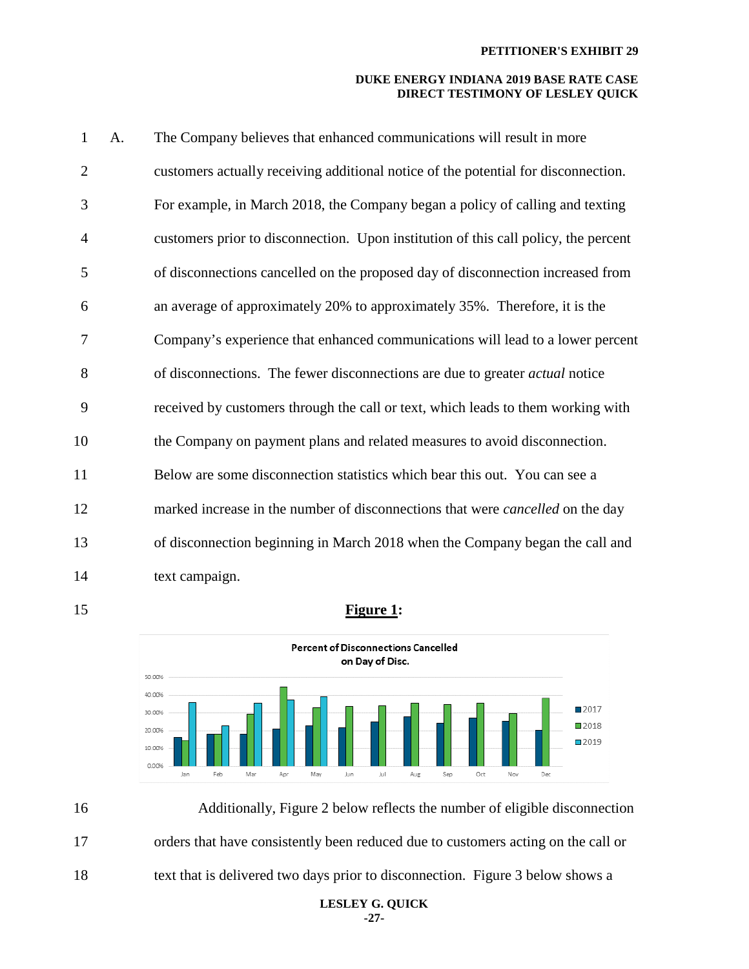| $\mathbf{1}$   | A. | The Company believes that enhanced communications will result in more                 |
|----------------|----|---------------------------------------------------------------------------------------|
| $\overline{2}$ |    | customers actually receiving additional notice of the potential for disconnection.    |
| 3              |    | For example, in March 2018, the Company began a policy of calling and texting         |
| $\overline{4}$ |    | customers prior to disconnection. Upon institution of this call policy, the percent   |
| 5              |    | of disconnections cancelled on the proposed day of disconnection increased from       |
| 6              |    | an average of approximately 20% to approximately 35%. Therefore, it is the            |
| 7              |    | Company's experience that enhanced communications will lead to a lower percent        |
| 8              |    | of disconnections. The fewer disconnections are due to greater <i>actual</i> notice   |
| 9              |    | received by customers through the call or text, which leads to them working with      |
| 10             |    | the Company on payment plans and related measures to avoid disconnection.             |
| 11             |    | Below are some disconnection statistics which bear this out. You can see a            |
| 12             |    | marked increase in the number of disconnections that were <i>cancelled</i> on the day |
| 13             |    | of disconnection beginning in March 2018 when the Company began the call and          |
| 14             |    | text campaign.                                                                        |

# 15 **Figure 1:**





**LESLEY G. QUICK -27-**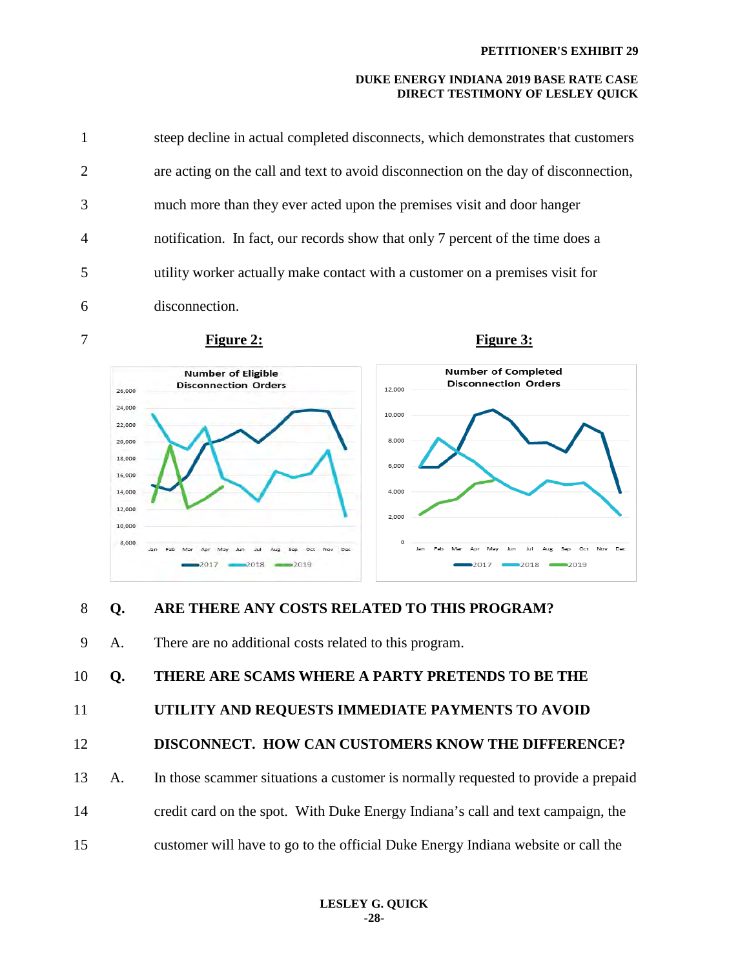| 1              | steep decline in actual completed disconnects, which demonstrates that customers    |
|----------------|-------------------------------------------------------------------------------------|
| $\overline{2}$ | are acting on the call and text to avoid disconnection on the day of disconnection, |
| 3              | much more than they ever acted upon the premises visit and door hanger              |
| $\overline{4}$ | notification. In fact, our records show that only 7 percent of the time does a      |
| 5              | utility worker actually make contact with a customer on a premises visit for        |
| 6              | disconnection.                                                                      |







# 8 **Q. ARE THERE ANY COSTS RELATED TO THIS PROGRAM?**

9 A. There are no additional costs related to this program.

10 **Q. THERE ARE SCAMS WHERE A PARTY PRETENDS TO BE THE** 

# 11 **UTILITY AND REQUESTS IMMEDIATE PAYMENTS TO AVOID**

```
12 DISCONNECT. HOW CAN CUSTOMERS KNOW THE DIFFERENCE?
```
- 13 A. In those scammer situations a customer is normally requested to provide a prepaid
- 14 credit card on the spot. With Duke Energy Indiana's call and text campaign, the
- 15 customer will have to go to the official Duke Energy Indiana website or call the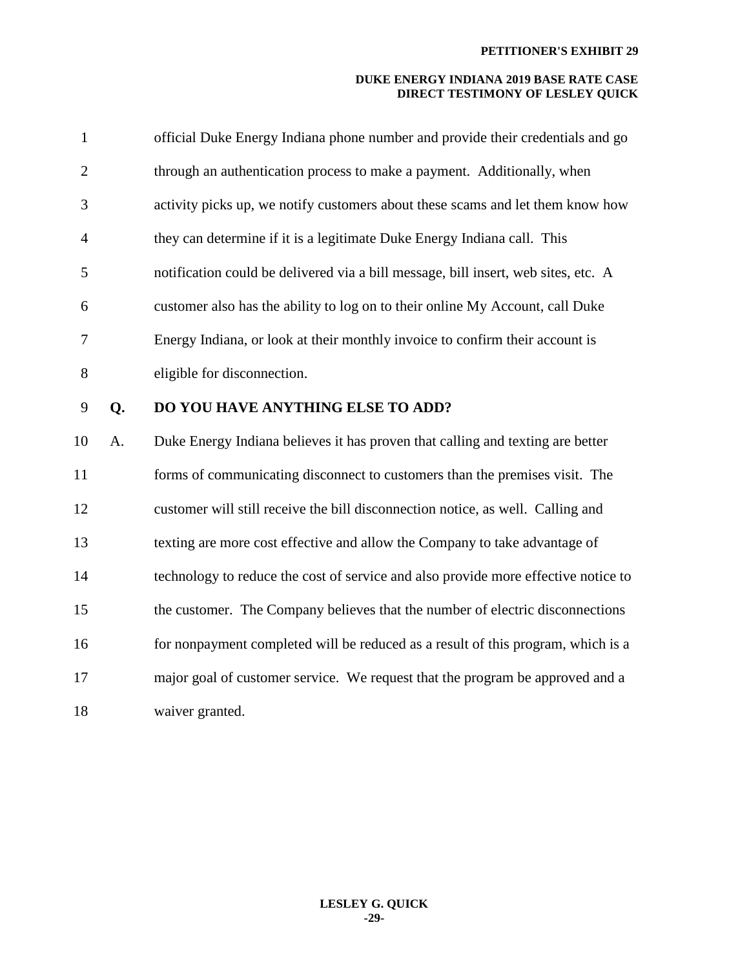| $\mathbf{1}$   |    | official Duke Energy Indiana phone number and provide their credentials and go     |
|----------------|----|------------------------------------------------------------------------------------|
| $\overline{2}$ |    | through an authentication process to make a payment. Additionally, when            |
| 3              |    | activity picks up, we notify customers about these scams and let them know how     |
| $\overline{4}$ |    | they can determine if it is a legitimate Duke Energy Indiana call. This            |
| 5              |    | notification could be delivered via a bill message, bill insert, web sites, etc. A |
| 6              |    | customer also has the ability to log on to their online My Account, call Duke      |
| 7              |    | Energy Indiana, or look at their monthly invoice to confirm their account is       |
| 8              |    | eligible for disconnection.                                                        |
| 9              | Q. | DO YOU HAVE ANYTHING ELSE TO ADD?                                                  |
| 10             | A. | Duke Energy Indiana believes it has proven that calling and texting are better     |
| 11             |    | forms of communicating disconnect to customers than the premises visit. The        |
| 12             |    | customer will still receive the bill disconnection notice, as well. Calling and    |
| 13             |    | texting are more cost effective and allow the Company to take advantage of         |
| 14             |    | technology to reduce the cost of service and also provide more effective notice to |
| 15             |    | the customer. The Company believes that the number of electric disconnections      |
| 16             |    | for nonpayment completed will be reduced as a result of this program, which is a   |
| 17             |    | major goal of customer service. We request that the program be approved and a      |
| 18             |    | waiver granted.                                                                    |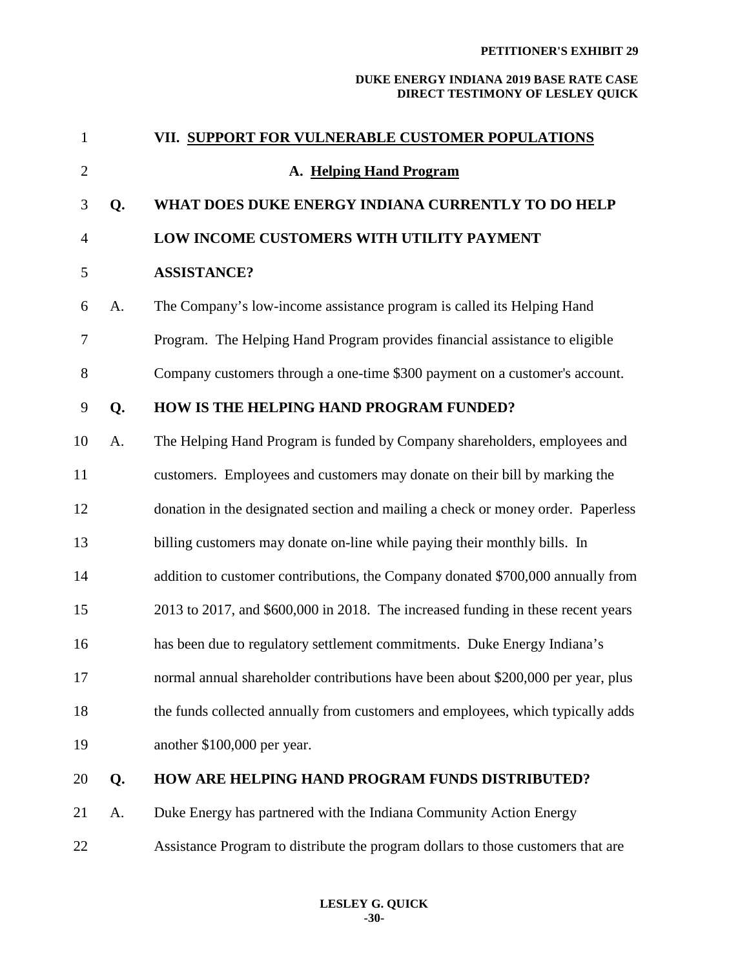| $\mathbf{1}$   |    | VII. SUPPORT FOR VULNERABLE CUSTOMER POPULATIONS                                 |
|----------------|----|----------------------------------------------------------------------------------|
| $\overline{2}$ |    | A. Helping Hand Program                                                          |
| 3              | Q. | WHAT DOES DUKE ENERGY INDIANA CURRENTLY TO DO HELP                               |
| $\overline{4}$ |    | LOW INCOME CUSTOMERS WITH UTILITY PAYMENT                                        |
| 5              |    | <b>ASSISTANCE?</b>                                                               |
| 6              | A. | The Company's low-income assistance program is called its Helping Hand           |
| 7              |    | Program. The Helping Hand Program provides financial assistance to eligible      |
| 8              |    | Company customers through a one-time \$300 payment on a customer's account.      |
| 9              | Q. | HOW IS THE HELPING HAND PROGRAM FUNDED?                                          |
| 10             | A. | The Helping Hand Program is funded by Company shareholders, employees and        |
| 11             |    | customers. Employees and customers may donate on their bill by marking the       |
| 12             |    | donation in the designated section and mailing a check or money order. Paperless |
| 13             |    | billing customers may donate on-line while paying their monthly bills. In        |
| 14             |    | addition to customer contributions, the Company donated \$700,000 annually from  |
| 15             |    | 2013 to 2017, and \$600,000 in 2018. The increased funding in these recent years |
| 16             |    | has been due to regulatory settlement commitments. Duke Energy Indiana's         |
| 17             |    | normal annual shareholder contributions have been about \$200,000 per year, plus |
| 18             |    | the funds collected annually from customers and employees, which typically adds  |
| 19             |    | another \$100,000 per year.                                                      |
| 20             | Q. | HOW ARE HELPING HAND PROGRAM FUNDS DISTRIBUTED?                                  |
| 21             | A. | Duke Energy has partnered with the Indiana Community Action Energy               |
| 22             |    | Assistance Program to distribute the program dollars to those customers that are |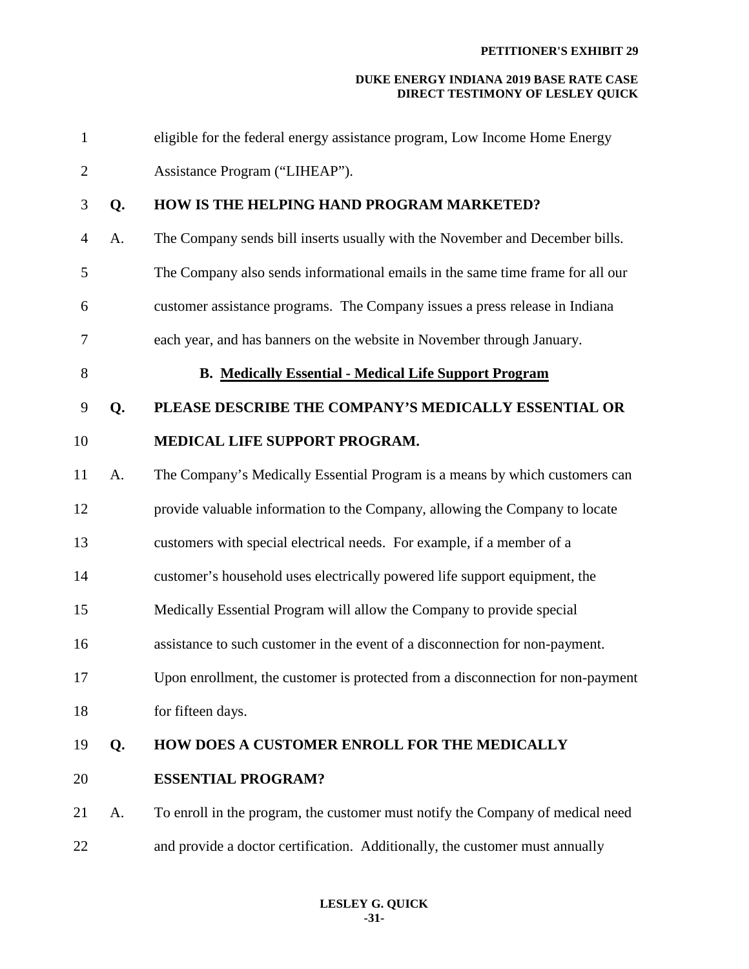| $\mathbf{1}$   |    | eligible for the federal energy assistance program, Low Income Home Energy      |
|----------------|----|---------------------------------------------------------------------------------|
| $\overline{2}$ |    | Assistance Program ("LIHEAP").                                                  |
| 3              | Q. | HOW IS THE HELPING HAND PROGRAM MARKETED?                                       |
| $\overline{4}$ | A. | The Company sends bill inserts usually with the November and December bills.    |
| 5              |    | The Company also sends informational emails in the same time frame for all our  |
| 6              |    | customer assistance programs. The Company issues a press release in Indiana     |
| 7              |    | each year, and has banners on the website in November through January.          |
| 8              |    | <b>B. Medically Essential - Medical Life Support Program</b>                    |
| 9              | Q. | PLEASE DESCRIBE THE COMPANY'S MEDICALLY ESSENTIAL OR                            |
| 10             |    | MEDICAL LIFE SUPPORT PROGRAM.                                                   |
| 11             | A. | The Company's Medically Essential Program is a means by which customers can     |
| 12             |    | provide valuable information to the Company, allowing the Company to locate     |
| 13             |    | customers with special electrical needs. For example, if a member of a          |
| 14             |    | customer's household uses electrically powered life support equipment, the      |
| 15             |    | Medically Essential Program will allow the Company to provide special           |
| 16             |    | assistance to such customer in the event of a disconnection for non-payment.    |
| 17             |    | Upon enrollment, the customer is protected from a disconnection for non-payment |
| 18             |    | for fifteen days.                                                               |
| 19             | Q. | HOW DOES A CUSTOMER ENROLL FOR THE MEDICALLY                                    |
| 20             |    | <b>ESSENTIAL PROGRAM?</b>                                                       |
| 21             | A. | To enroll in the program, the customer must notify the Company of medical need  |
| 22             |    | and provide a doctor certification. Additionally, the customer must annually    |
|                |    |                                                                                 |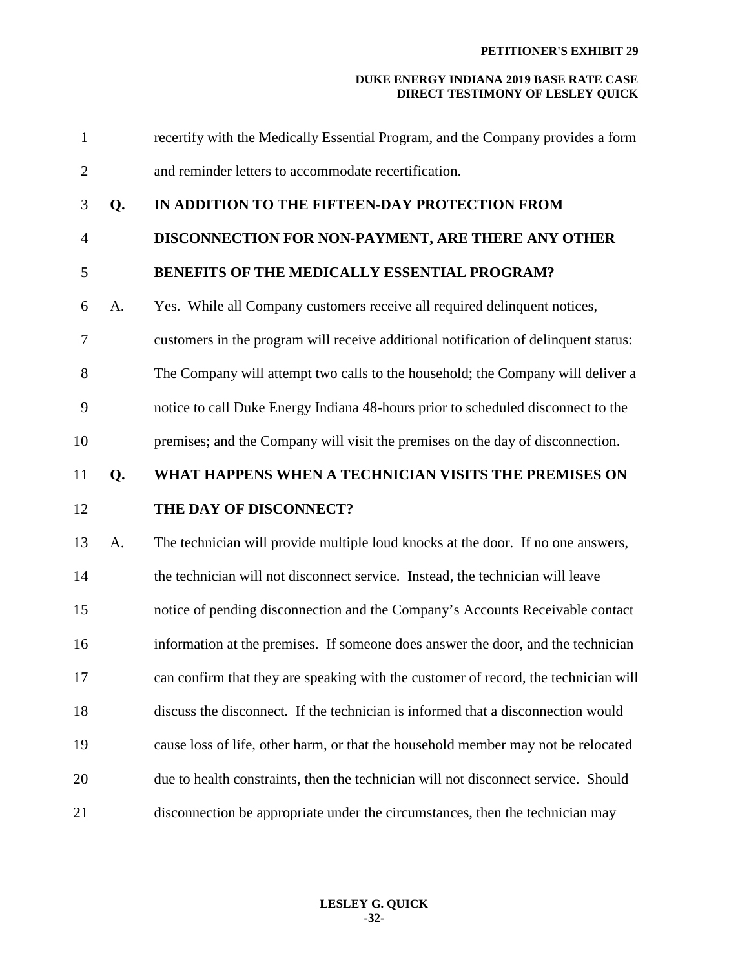| $\mathbf{1}$   |    | recertify with the Medically Essential Program, and the Company provides a form     |
|----------------|----|-------------------------------------------------------------------------------------|
| $\overline{2}$ |    | and reminder letters to accommodate recertification.                                |
| 3              | Q. | IN ADDITION TO THE FIFTEEN-DAY PROTECTION FROM                                      |
| $\overline{4}$ |    | DISCONNECTION FOR NON-PAYMENT, ARE THERE ANY OTHER                                  |
| 5              |    | BENEFITS OF THE MEDICALLY ESSENTIAL PROGRAM?                                        |
| 6              | A. | Yes. While all Company customers receive all required delinquent notices,           |
| $\overline{7}$ |    | customers in the program will receive additional notification of delinquent status: |
| 8              |    | The Company will attempt two calls to the household; the Company will deliver a     |
| 9              |    | notice to call Duke Energy Indiana 48-hours prior to scheduled disconnect to the    |
| 10             |    | premises; and the Company will visit the premises on the day of disconnection.      |
| 11             | Q. | WHAT HAPPENS WHEN A TECHNICIAN VISITS THE PREMISES ON                               |
| 12             |    | THE DAY OF DISCONNECT?                                                              |
| 13             | A. | The technician will provide multiple loud knocks at the door. If no one answers,    |
| 14             |    | the technician will not disconnect service. Instead, the technician will leave      |
| 15             |    | notice of pending disconnection and the Company's Accounts Receivable contact       |
| 16             |    | information at the premises. If someone does answer the door, and the technician    |
| 17             |    | can confirm that they are speaking with the customer of record, the technician will |
| 18             |    | discuss the disconnect. If the technician is informed that a disconnection would    |
| 19             |    | cause loss of life, other harm, or that the household member may not be relocated   |
| 20             |    | due to health constraints, then the technician will not disconnect service. Should  |
| 21             |    | disconnection be appropriate under the circumstances, then the technician may       |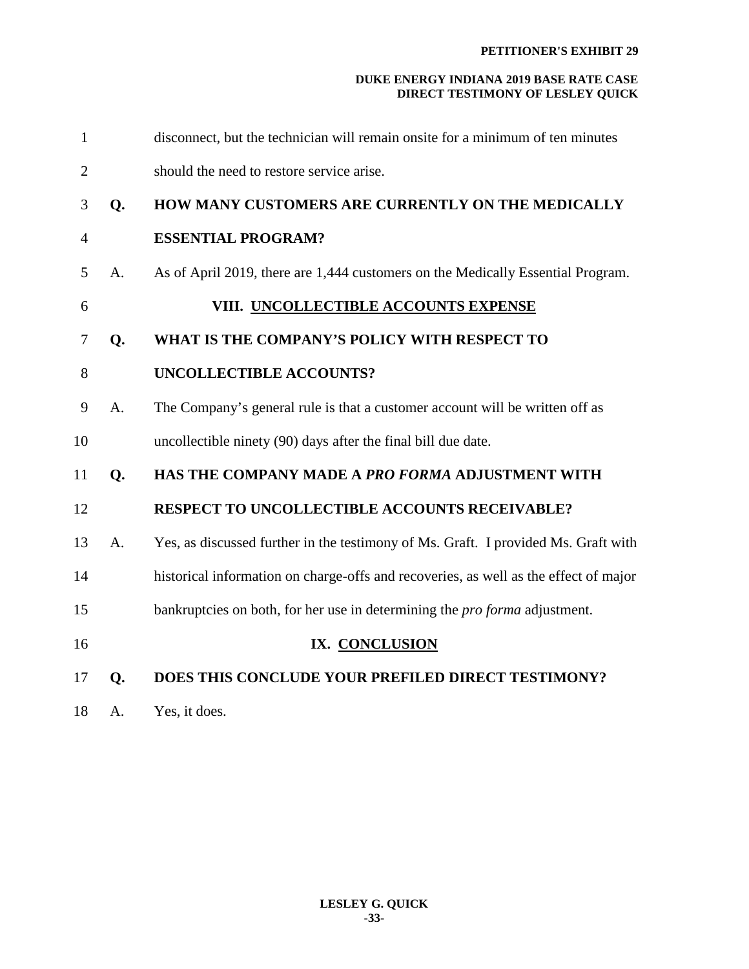| 17             | Q. | DOES THIS CONCLUDE YOUR PREFILED DIRECT TESTIMONY?                                   |
|----------------|----|--------------------------------------------------------------------------------------|
| 16             |    | IX. CONCLUSION                                                                       |
| 15             |    | bankruptcies on both, for her use in determining the <i>pro forma</i> adjustment.    |
| 14             |    | historical information on charge-offs and recoveries, as well as the effect of major |
| 13             | A. | Yes, as discussed further in the testimony of Ms. Graft. I provided Ms. Graft with   |
| 12             |    | <b>RESPECT TO UNCOLLECTIBLE ACCOUNTS RECEIVABLE?</b>                                 |
| 11             | Q. | HAS THE COMPANY MADE A PRO FORMA ADJUSTMENT WITH                                     |
| 10             |    | uncollectible ninety (90) days after the final bill due date.                        |
| 9              | A. | The Company's general rule is that a customer account will be written off as         |
| 8              |    | <b>UNCOLLECTIBLE ACCOUNTS?</b>                                                       |
| 7              | Q. | WHAT IS THE COMPANY'S POLICY WITH RESPECT TO                                         |
| 6              |    | VIII. UNCOLLECTIBLE ACCOUNTS EXPENSE                                                 |
| 5              | A. | As of April 2019, there are 1,444 customers on the Medically Essential Program.      |
| $\overline{4}$ |    | <b>ESSENTIAL PROGRAM?</b>                                                            |
| 3              | Q. | HOW MANY CUSTOMERS ARE CURRENTLY ON THE MEDICALLY                                    |
| $\overline{2}$ |    | should the need to restore service arise.                                            |
| $\mathbf{1}$   |    | disconnect, but the technician will remain onsite for a minimum of ten minutes       |

**LESLEY G. QUICK -33-** 

18 A. Yes, it does.